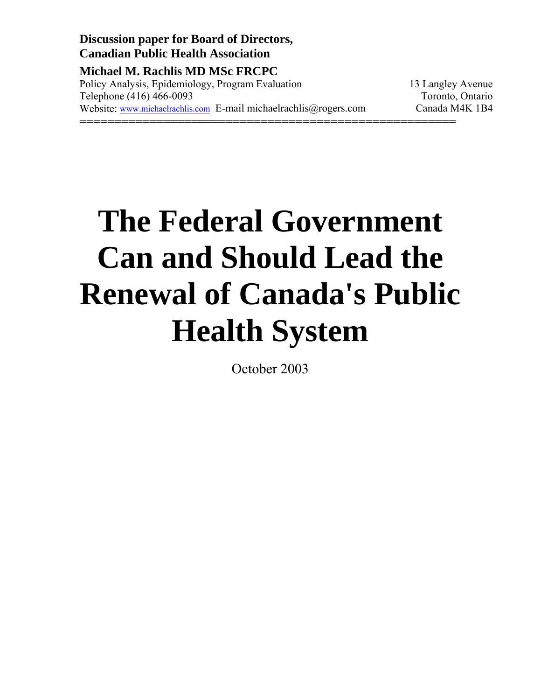**Discussion paper for Board of Directors, Canadian Public Health Association** 

**Michael M. Rachlis MD MSc FRCPC** Policy Analysis, Epidemiology, Program Evaluation 13 Langley Avenue Telephone (416) 466-0093 Toronto, Ontario Website: www.michaelrachlis.com E-mail michaelrachlis@rogers.com Canada M4K 1B4 ======================================================

# **The Federal Government Can and Should Lead the Renewal of Canada's Public Health System**

October 2003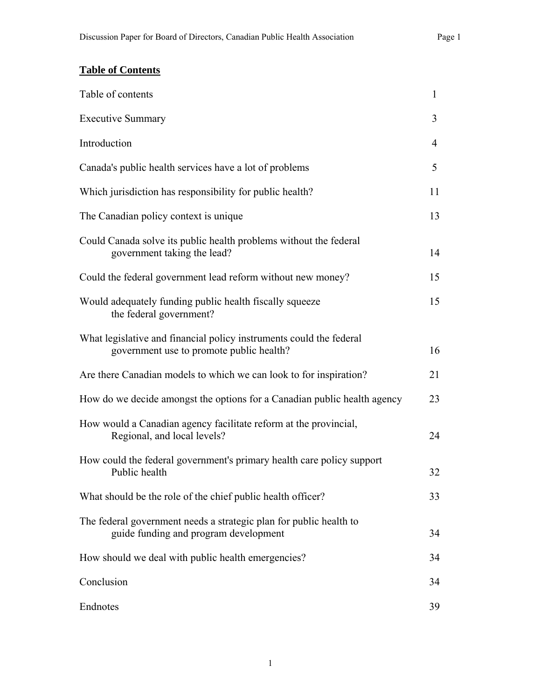## **Table of Contents**

| Table of contents                                                                                               | $\mathbf{1}$   |
|-----------------------------------------------------------------------------------------------------------------|----------------|
| <b>Executive Summary</b>                                                                                        | 3              |
| Introduction                                                                                                    | $\overline{4}$ |
| Canada's public health services have a lot of problems                                                          | 5              |
| Which jurisdiction has responsibility for public health?                                                        | 11             |
| The Canadian policy context is unique                                                                           | 13             |
| Could Canada solve its public health problems without the federal<br>government taking the lead?                | 14             |
| Could the federal government lead reform without new money?                                                     | 15             |
| Would adequately funding public health fiscally squeeze<br>the federal government?                              | 15             |
| What legislative and financial policy instruments could the federal<br>government use to promote public health? | 16             |
| Are there Canadian models to which we can look to for inspiration?                                              | 21             |
| How do we decide amongst the options for a Canadian public health agency                                        | 23             |
| How would a Canadian agency facilitate reform at the provincial,<br>Regional, and local levels?                 | 24             |
| How could the federal government's primary health care policy support<br>Public health                          | 32             |
| What should be the role of the chief public health officer?                                                     | 33             |
| The federal government needs a strategic plan for public health to<br>guide funding and program development     | 34             |
| How should we deal with public health emergencies?                                                              | 34             |
| Conclusion                                                                                                      | 34             |
| Endnotes                                                                                                        | 39             |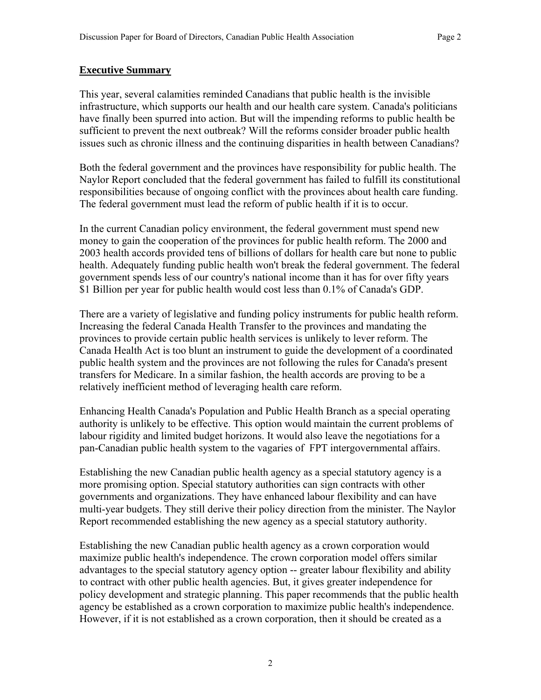#### **Executive Summary**

This year, several calamities reminded Canadians that public health is the invisible infrastructure, which supports our health and our health care system. Canada's politicians have finally been spurred into action. But will the impending reforms to public health be sufficient to prevent the next outbreak? Will the reforms consider broader public health issues such as chronic illness and the continuing disparities in health between Canadians?

Both the federal government and the provinces have responsibility for public health. The Naylor Report concluded that the federal government has failed to fulfill its constitutional responsibilities because of ongoing conflict with the provinces about health care funding. The federal government must lead the reform of public health if it is to occur.

In the current Canadian policy environment, the federal government must spend new money to gain the cooperation of the provinces for public health reform. The 2000 and 2003 health accords provided tens of billions of dollars for health care but none to public health. Adequately funding public health won't break the federal government. The federal government spends less of our country's national income than it has for over fifty years \$1 Billion per year for public health would cost less than 0.1% of Canada's GDP.

There are a variety of legislative and funding policy instruments for public health reform. Increasing the federal Canada Health Transfer to the provinces and mandating the provinces to provide certain public health services is unlikely to lever reform. The Canada Health Act is too blunt an instrument to guide the development of a coordinated public health system and the provinces are not following the rules for Canada's present transfers for Medicare. In a similar fashion, the health accords are proving to be a relatively inefficient method of leveraging health care reform.

Enhancing Health Canada's Population and Public Health Branch as a special operating authority is unlikely to be effective. This option would maintain the current problems of labour rigidity and limited budget horizons. It would also leave the negotiations for a pan-Canadian public health system to the vagaries of FPT intergovernmental affairs.

Establishing the new Canadian public health agency as a special statutory agency is a more promising option. Special statutory authorities can sign contracts with other governments and organizations. They have enhanced labour flexibility and can have multi-year budgets. They still derive their policy direction from the minister. The Naylor Report recommended establishing the new agency as a special statutory authority.

Establishing the new Canadian public health agency as a crown corporation would maximize public health's independence. The crown corporation model offers similar advantages to the special statutory agency option -- greater labour flexibility and ability to contract with other public health agencies. But, it gives greater independence for policy development and strategic planning. This paper recommends that the public health agency be established as a crown corporation to maximize public health's independence. However, if it is not established as a crown corporation, then it should be created as a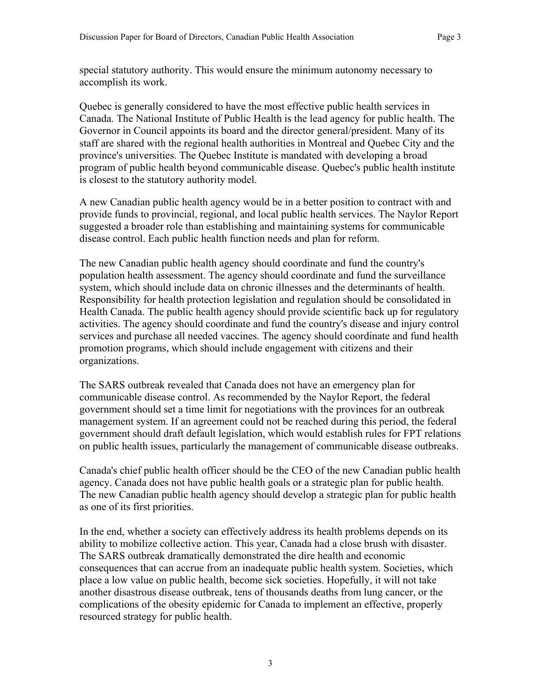special statutory authority. This would ensure the minimum autonomy necessary to accomplish its work.

Quebec is generally considered to have the most effective public health services in Canada. The National Institute of Public Health is the lead agency for public health. The Governor in Council appoints its board and the director general/president. Many of its staff are shared with the regional health authorities in Montreal and Quebec City and the province's universities. The Quebec Institute is mandated with developing a broad program of public health beyond communicable disease. Quebec's public health institute is closest to the statutory authority model.

A new Canadian public health agency would be in a better position to contract with and provide funds to provincial, regional, and local public health services. The Naylor Report suggested a broader role than establishing and maintaining systems for communicable disease control. Each public health function needs and plan for reform.

The new Canadian public health agency should coordinate and fund the country's population health assessment. The agency should coordinate and fund the surveillance system, which should include data on chronic illnesses and the determinants of health. Responsibility for health protection legislation and regulation should be consolidated in Health Canada. The public health agency should provide scientific back up for regulatory activities. The agency should coordinate and fund the country's disease and injury control services and purchase all needed vaccines. The agency should coordinate and fund health promotion programs, which should include engagement with citizens and their organizations.

The SARS outbreak revealed that Canada does not have an emergency plan for communicable disease control. As recommended by the Naylor Report, the federal government should set a time limit for negotiations with the provinces for an outbreak management system. If an agreement could not be reached during this period, the federal government should draft default legislation, which would establish rules for FPT relations on public health issues, particularly the management of communicable disease outbreaks.

Canada's chief public health officer should be the CEO of the new Canadian public health agency. Canada does not have public health goals or a strategic plan for public health. The new Canadian public health agency should develop a strategic plan for public health as one of its first priorities.

In the end, whether a society can effectively address its health problems depends on its ability to mobilize collective action. This year, Canada had a close brush with disaster. The SARS outbreak dramatically demonstrated the dire health and economic consequences that can accrue from an inadequate public health system. Societies, which place a low value on public health, become sick societies. Hopefully, it will not take another disastrous disease outbreak, tens of thousands deaths from lung cancer, or the complications of the obesity epidemic for Canada to implement an effective, properly resourced strategy for public health.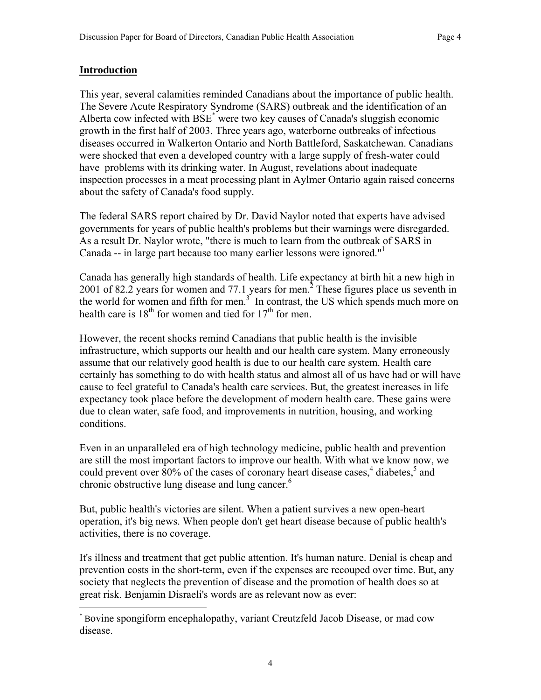#### **Introduction**

 $\overline{a}$ 

This year, several calamities reminded Canadians about the importance of public health. The Severe Acute Respiratory Syndrome (SARS) outbreak and the identification of an Alberta cow infected with BSE<sup>\*</sup> were two key causes of Canada's sluggish economic growth in the first half of 2003. Three years ago, waterborne outbreaks of infectious diseases occurred in Walkerton Ontario and North Battleford, Saskatchewan. Canadians were shocked that even a developed country with a large supply of fresh-water could have problems with its drinking water. In August, revelations about inadequate inspection processes in a meat processing plant in Aylmer Ontario again raised concerns about the safety of Canada's food supply.

The federal SARS report chaired by Dr. David Naylor noted that experts have advised governments for years of public health's problems but their warnings were disregarded. As a result Dr. Naylor wrote, "there is much to learn from the outbreak of SARS in Canada -- in large part because too many earlier lessons were ignored."1

Canada has generally high standards of health. Life expectancy at birth hit a new high in 2001 of 82.2 years for women and 77.1 years for men.<sup>2</sup> These figures place us seventh in the world for women and fifth for men.<sup>3</sup> In contrast, the US which spends much more on health care is  $18<sup>th</sup>$  for women and tied for  $17<sup>th</sup>$  for men.

However, the recent shocks remind Canadians that public health is the invisible infrastructure, which supports our health and our health care system. Many erroneously assume that our relatively good health is due to our health care system. Health care certainly has something to do with health status and almost all of us have had or will have cause to feel grateful to Canada's health care services. But, the greatest increases in life expectancy took place before the development of modern health care. These gains were due to clean water, safe food, and improvements in nutrition, housing, and working conditions.

Even in an unparalleled era of high technology medicine, public health and prevention are still the most important factors to improve our health. With what we know now, we could prevent over 80% of the cases of coronary heart disease cases,  $4$  diabetes,  $5$  and chronic obstructive lung disease and lung cancer.<sup>6</sup>

But, public health's victories are silent. When a patient survives a new open-heart operation, it's big news. When people don't get heart disease because of public health's activities, there is no coverage.

It's illness and treatment that get public attention. It's human nature. Denial is cheap and prevention costs in the short-term, even if the expenses are recouped over time. But, any society that neglects the prevention of disease and the promotion of health does so at great risk. Benjamin Disraeli's words are as relevant now as ever:

<sup>\*</sup> Bovine spongiform encephalopathy, variant Creutzfeld Jacob Disease, or mad cow disease.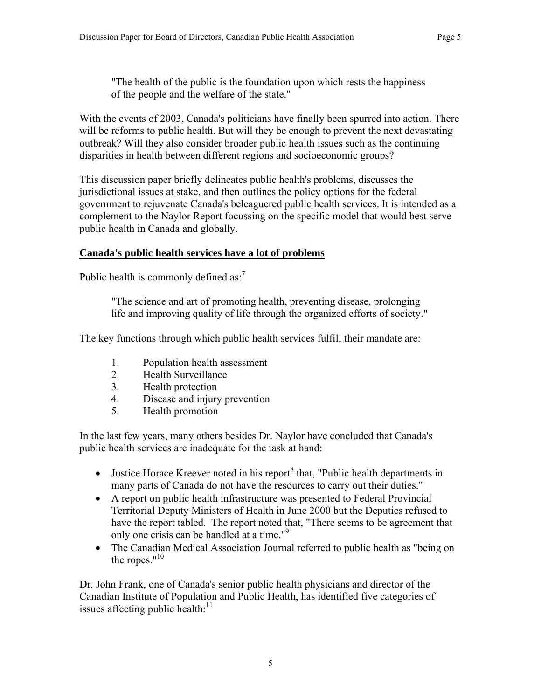"The health of the public is the foundation upon which rests the happiness of the people and the welfare of the state."

With the events of 2003, Canada's politicians have finally been spurred into action. There will be reforms to public health. But will they be enough to prevent the next devastating outbreak? Will they also consider broader public health issues such as the continuing disparities in health between different regions and socioeconomic groups?

This discussion paper briefly delineates public health's problems, discusses the jurisdictional issues at stake, and then outlines the policy options for the federal government to rejuvenate Canada's beleaguered public health services. It is intended as a complement to the Naylor Report focussing on the specific model that would best serve public health in Canada and globally.

## **Canada's public health services have a lot of problems**

Public health is commonly defined as: $<sup>7</sup>$ </sup>

"The science and art of promoting health, preventing disease, prolonging life and improving quality of life through the organized efforts of society."

The key functions through which public health services fulfill their mandate are:

- 1. Population health assessment
- 2. Health Surveillance
- 3. Health protection
- 4. Disease and injury prevention
- 5. Health promotion

In the last few years, many others besides Dr. Naylor have concluded that Canada's public health services are inadequate for the task at hand:

- Justice Horace Kreever noted in his report  $\delta$  that, "Public health departments in many parts of Canada do not have the resources to carry out their duties."
- A report on public health infrastructure was presented to Federal Provincial Territorial Deputy Ministers of Health in June 2000 but the Deputies refused to have the report tabled. The report noted that, "There seems to be agreement that only one crisis can be handled at a time."<sup>9</sup>
- The Canadian Medical Association Journal referred to public health as "being on the ropes." $10$

Dr. John Frank, one of Canada's senior public health physicians and director of the Canadian Institute of Population and Public Health, has identified five categories of issues affecting public health: $11$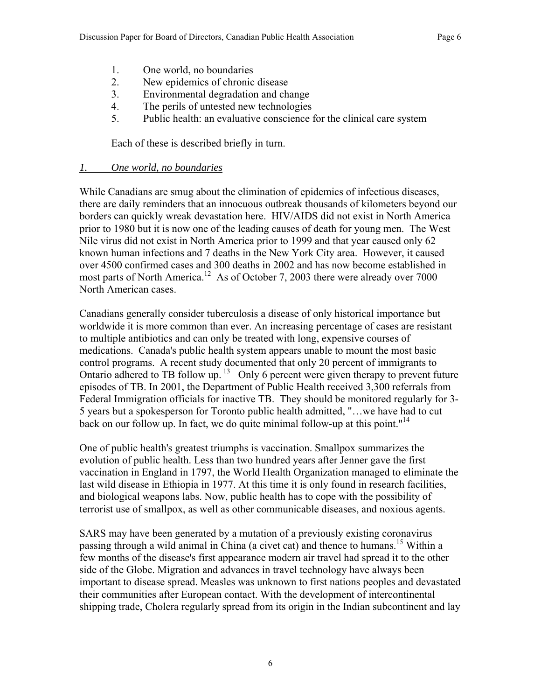- 1. One world, no boundaries
- 2. New epidemics of chronic disease
- 3. Environmental degradation and change
- 4. The perils of untested new technologies
- 5. Public health: an evaluative conscience for the clinical care system

Each of these is described briefly in turn.

## *1. One world, no boundaries*

While Canadians are smug about the elimination of epidemics of infectious diseases, there are daily reminders that an innocuous outbreak thousands of kilometers beyond our borders can quickly wreak devastation here. HIV/AIDS did not exist in North America prior to 1980 but it is now one of the leading causes of death for young men. The West Nile virus did not exist in North America prior to 1999 and that year caused only 62 known human infections and 7 deaths in the New York City area. However, it caused over 4500 confirmed cases and 300 deaths in 2002 and has now become established in most parts of North America.<sup>12</sup> As of October 7, 2003 there were already over 7000 North American cases.

Canadians generally consider tuberculosis a disease of only historical importance but worldwide it is more common than ever. An increasing percentage of cases are resistant to multiple antibiotics and can only be treated with long, expensive courses of medications. Canada's public health system appears unable to mount the most basic control programs. A recent study documented that only 20 percent of immigrants to Ontario adhered to TB follow up.  $13$  Only 6 percent were given therapy to prevent future episodes of TB. In 2001, the Department of Public Health received 3,300 referrals from Federal Immigration officials for inactive TB. They should be monitored regularly for 3- 5 years but a spokesperson for Toronto public health admitted, "…we have had to cut back on our follow up. In fact, we do quite minimal follow-up at this point."<sup>14</sup>

One of public health's greatest triumphs is vaccination. Smallpox summarizes the evolution of public health. Less than two hundred years after Jenner gave the first vaccination in England in 1797, the World Health Organization managed to eliminate the last wild disease in Ethiopia in 1977. At this time it is only found in research facilities, and biological weapons labs. Now, public health has to cope with the possibility of terrorist use of smallpox, as well as other communicable diseases, and noxious agents.

SARS may have been generated by a mutation of a previously existing coronavirus passing through a wild animal in China (a civet cat) and thence to humans.<sup>15</sup> Within a few months of the disease's first appearance modern air travel had spread it to the other side of the Globe. Migration and advances in travel technology have always been important to disease spread. Measles was unknown to first nations peoples and devastated their communities after European contact. With the development of intercontinental shipping trade, Cholera regularly spread from its origin in the Indian subcontinent and lay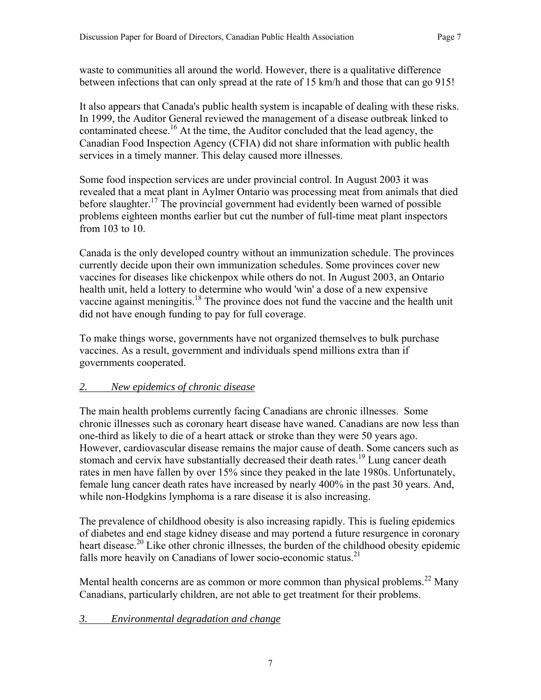waste to communities all around the world. However, there is a qualitative difference between infections that can only spread at the rate of 15 km/h and those that can go 915!

It also appears that Canada's public health system is incapable of dealing with these risks. In 1999, the Auditor General reviewed the management of a disease outbreak linked to contaminated cheese.<sup>16</sup> At the time, the Auditor concluded that the lead agency, the Canadian Food Inspection Agency (CFIA) did not share information with public health services in a timely manner. This delay caused more illnesses.

Some food inspection services are under provincial control. In August 2003 it was revealed that a meat plant in Aylmer Ontario was processing meat from animals that died before slaughter.<sup>17</sup> The provincial government had evidently been warned of possible problems eighteen months earlier but cut the number of full-time meat plant inspectors from 103 to 10.

Canada is the only developed country without an immunization schedule. The provinces currently decide upon their own immunization schedules. Some provinces cover new vaccines for diseases like chickenpox while others do not. In August 2003, an Ontario health unit, held a lottery to determine who would 'win' a dose of a new expensive vaccine against meningitis.<sup>18</sup> The province does not fund the vaccine and the health unit did not have enough funding to pay for full coverage.

To make things worse, governments have not organized themselves to bulk purchase vaccines. As a result, government and individuals spend millions extra than if governments cooperated.

## *2. New epidemics of chronic disease*

The main health problems currently facing Canadians are chronic illnesses. Some chronic illnesses such as coronary heart disease have waned. Canadians are now less than one-third as likely to die of a heart attack or stroke than they were 50 years ago. However, cardiovascular disease remains the major cause of death. Some cancers such as stomach and cervix have substantially decreased their death rates.<sup>19</sup> Lung cancer death rates in men have fallen by over 15% since they peaked in the late 1980s. Unfortunately, female lung cancer death rates have increased by nearly 400% in the past 30 years. And, while non-Hodgkins lymphoma is a rare disease it is also increasing.

The prevalence of childhood obesity is also increasing rapidly. This is fueling epidemics of diabetes and end stage kidney disease and may portend a future resurgence in coronary heart disease.<sup>20</sup> Like other chronic illnesses, the burden of the childhood obesity epidemic falls more heavily on Canadians of lower socio-economic status.<sup>21</sup>

Mental health concerns are as common or more common than physical problems.<sup>22</sup> Many Canadians, particularly children, are not able to get treatment for their problems.

## *3. Environmental degradation and change*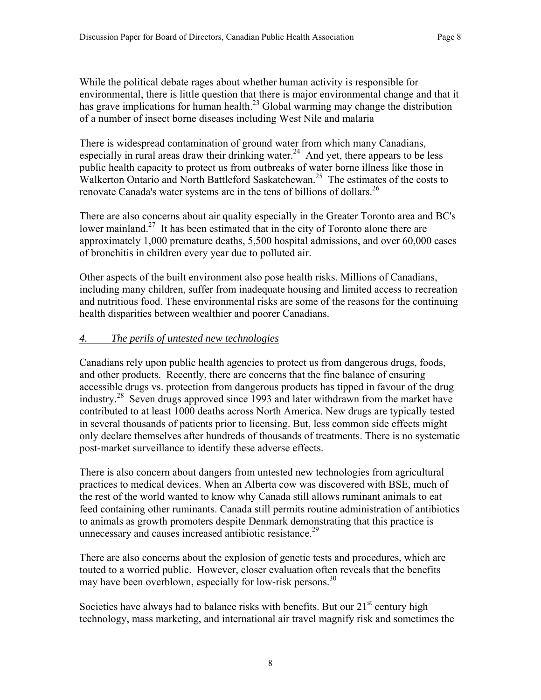While the political debate rages about whether human activity is responsible for environmental, there is little question that there is major environmental change and that it has grave implications for human health.<sup>23</sup> Global warming may change the distribution of a number of insect borne diseases including West Nile and malaria

There is widespread contamination of ground water from which many Canadians, especially in rural areas draw their drinking water.<sup>24</sup> And yet, there appears to be less public health capacity to protect us from outbreaks of water borne illness like those in Walkerton Ontario and North Battleford Saskatchewan.<sup>25</sup> The estimates of the costs to renovate Canada's water systems are in the tens of billions of dollars.<sup>26</sup>

There are also concerns about air quality especially in the Greater Toronto area and BC's lower mainland.<sup>27</sup> It has been estimated that in the city of Toronto alone there are approximately 1,000 premature deaths, 5,500 hospital admissions, and over 60,000 cases of bronchitis in children every year due to polluted air.

Other aspects of the built environment also pose health risks. Millions of Canadians, including many children, suffer from inadequate housing and limited access to recreation and nutritious food. These environmental risks are some of the reasons for the continuing health disparities between wealthier and poorer Canadians.

#### *4. The perils of untested new technologies*

Canadians rely upon public health agencies to protect us from dangerous drugs, foods, and other products. Recently, there are concerns that the fine balance of ensuring accessible drugs vs. protection from dangerous products has tipped in favour of the drug industry.28 Seven drugs approved since 1993 and later withdrawn from the market have contributed to at least 1000 deaths across North America. New drugs are typically tested in several thousands of patients prior to licensing. But, less common side effects might only declare themselves after hundreds of thousands of treatments. There is no systematic post-market surveillance to identify these adverse effects.

There is also concern about dangers from untested new technologies from agricultural practices to medical devices. When an Alberta cow was discovered with BSE, much of the rest of the world wanted to know why Canada still allows ruminant animals to eat feed containing other ruminants. Canada still permits routine administration of antibiotics to animals as growth promoters despite Denmark demonstrating that this practice is unnecessary and causes increased antibiotic resistance.<sup>29</sup>

There are also concerns about the explosion of genetic tests and procedures, which are touted to a worried public. However, closer evaluation often reveals that the benefits may have been overblown, especially for low-risk persons.<sup>30</sup>

Societies have always had to balance risks with benefits. But our  $21<sup>st</sup>$  century high technology, mass marketing, and international air travel magnify risk and sometimes the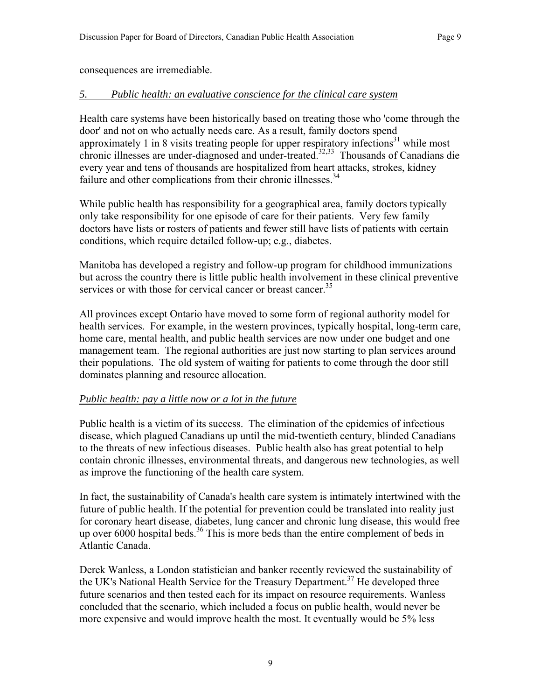consequences are irremediable.

## *5. Public health: an evaluative conscience for the clinical care system*

Health care systems have been historically based on treating those who 'come through the door' and not on who actually needs care. As a result, family doctors spend approximately 1 in 8 visits treating people for upper respiratory infections<sup>31</sup> while most chronic illnesses are under-diagnosed and under-treated.<sup>32,33</sup> Thousands of Canadians die every year and tens of thousands are hospitalized from heart attacks, strokes, kidney failure and other complications from their chronic illnesses.<sup>34</sup>

While public health has responsibility for a geographical area, family doctors typically only take responsibility for one episode of care for their patients. Very few family doctors have lists or rosters of patients and fewer still have lists of patients with certain conditions, which require detailed follow-up; e.g., diabetes.

Manitoba has developed a registry and follow-up program for childhood immunizations but across the country there is little public health involvement in these clinical preventive services or with those for cervical cancer or breast cancer.<sup>35</sup>

All provinces except Ontario have moved to some form of regional authority model for health services. For example, in the western provinces, typically hospital, long-term care, home care, mental health, and public health services are now under one budget and one management team. The regional authorities are just now starting to plan services around their populations. The old system of waiting for patients to come through the door still dominates planning and resource allocation.

#### *Public health: pay a little now or a lot in the future*

Public health is a victim of its success. The elimination of the epidemics of infectious disease, which plagued Canadians up until the mid-twentieth century, blinded Canadians to the threats of new infectious diseases. Public health also has great potential to help contain chronic illnesses, environmental threats, and dangerous new technologies, as well as improve the functioning of the health care system.

In fact, the sustainability of Canada's health care system is intimately intertwined with the future of public health. If the potential for prevention could be translated into reality just for coronary heart disease, diabetes, lung cancer and chronic lung disease, this would free up over  $6000$  hospital beds.<sup>36</sup> This is more beds than the entire complement of beds in Atlantic Canada.

Derek Wanless, a London statistician and banker recently reviewed the sustainability of the UK's National Health Service for the Treasury Department.<sup>37</sup> He developed three future scenarios and then tested each for its impact on resource requirements. Wanless concluded that the scenario, which included a focus on public health, would never be more expensive and would improve health the most. It eventually would be 5% less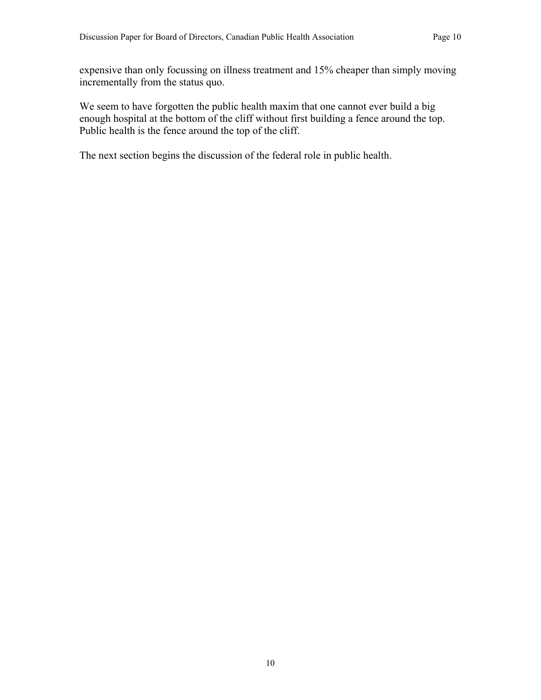expensive than only focussing on illness treatment and 15% cheaper than simply moving incrementally from the status quo.

We seem to have forgotten the public health maxim that one cannot ever build a big enough hospital at the bottom of the cliff without first building a fence around the top. Public health is the fence around the top of the cliff.

The next section begins the discussion of the federal role in public health.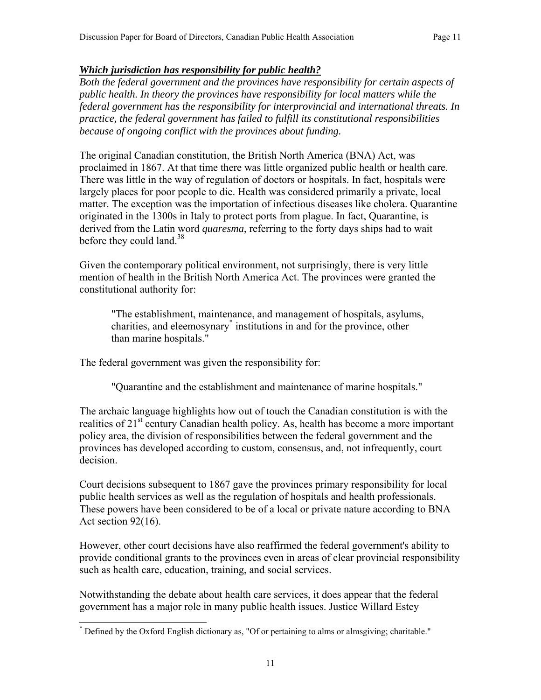## *Which jurisdiction has responsibility for public health?*

*Both the federal government and the provinces have responsibility for certain aspects of public health. In theory the provinces have responsibility for local matters while the federal government has the responsibility for interprovincial and international threats. In practice, the federal government has failed to fulfill its constitutional responsibilities because of ongoing conflict with the provinces about funding.* 

The original Canadian constitution, the British North America (BNA) Act, was proclaimed in 1867. At that time there was little organized public health or health care. There was little in the way of regulation of doctors or hospitals. In fact, hospitals were largely places for poor people to die. Health was considered primarily a private, local matter. The exception was the importation of infectious diseases like cholera. Quarantine originated in the 1300s in Italy to protect ports from plague. In fact, Quarantine, is derived from the Latin word *quaresma*, referring to the forty days ships had to wait before they could land.<sup>38</sup>

Given the contemporary political environment, not surprisingly, there is very little mention of health in the British North America Act. The provinces were granted the constitutional authority for:

"The establishment, maintenance, and management of hospitals, asylums, charities, and eleemosynary\* institutions in and for the province, other than marine hospitals."

The federal government was given the responsibility for:

"Quarantine and the establishment and maintenance of marine hospitals."

The archaic language highlights how out of touch the Canadian constitution is with the realities of  $21<sup>st</sup>$  century Canadian health policy. As, health has become a more important policy area, the division of responsibilities between the federal government and the provinces has developed according to custom, consensus, and, not infrequently, court decision.

Court decisions subsequent to 1867 gave the provinces primary responsibility for local public health services as well as the regulation of hospitals and health professionals. These powers have been considered to be of a local or private nature according to BNA Act section 92(16).

However, other court decisions have also reaffirmed the federal government's ability to provide conditional grants to the provinces even in areas of clear provincial responsibility such as health care, education, training, and social services.

Notwithstanding the debate about health care services, it does appear that the federal government has a major role in many public health issues. Justice Willard Estey

 $\overline{a}$ \* Defined by the Oxford English dictionary as, "Of or pertaining to alms or almsgiving; charitable."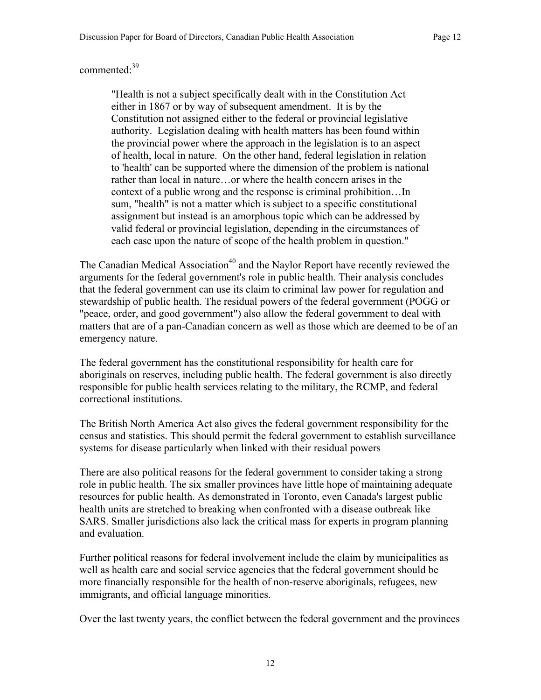## commented:<sup>39</sup>

"Health is not a subject specifically dealt with in the Constitution Act either in 1867 or by way of subsequent amendment. It is by the Constitution not assigned either to the federal or provincial legislative authority. Legislation dealing with health matters has been found within the provincial power where the approach in the legislation is to an aspect of health, local in nature. On the other hand, federal legislation in relation to 'health' can be supported where the dimension of the problem is national rather than local in nature…or where the health concern arises in the context of a public wrong and the response is criminal prohibition…In sum, "health" is not a matter which is subject to a specific constitutional assignment but instead is an amorphous topic which can be addressed by valid federal or provincial legislation, depending in the circumstances of each case upon the nature of scope of the health problem in question."

The Canadian Medical Association<sup>40</sup> and the Naylor Report have recently reviewed the arguments for the federal government's role in public health. Their analysis concludes that the federal government can use its claim to criminal law power for regulation and stewardship of public health. The residual powers of the federal government (POGG or "peace, order, and good government") also allow the federal government to deal with matters that are of a pan-Canadian concern as well as those which are deemed to be of an emergency nature.

The federal government has the constitutional responsibility for health care for aboriginals on reserves, including public health. The federal government is also directly responsible for public health services relating to the military, the RCMP, and federal correctional institutions.

The British North America Act also gives the federal government responsibility for the census and statistics. This should permit the federal government to establish surveillance systems for disease particularly when linked with their residual powers

There are also political reasons for the federal government to consider taking a strong role in public health. The six smaller provinces have little hope of maintaining adequate resources for public health. As demonstrated in Toronto, even Canada's largest public health units are stretched to breaking when confronted with a disease outbreak like SARS. Smaller jurisdictions also lack the critical mass for experts in program planning and evaluation.

Further political reasons for federal involvement include the claim by municipalities as well as health care and social service agencies that the federal government should be more financially responsible for the health of non-reserve aboriginals, refugees, new immigrants, and official language minorities.

Over the last twenty years, the conflict between the federal government and the provinces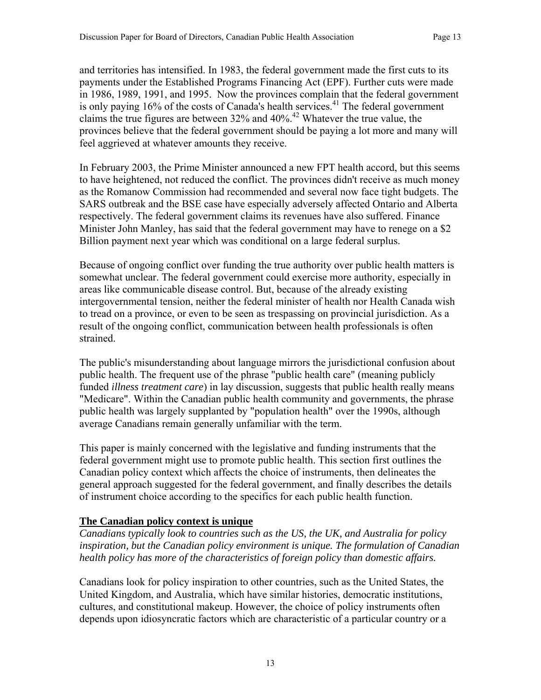and territories has intensified. In 1983, the federal government made the first cuts to its payments under the Established Programs Financing Act (EPF). Further cuts were made in 1986, 1989, 1991, and 1995. Now the provinces complain that the federal government is only paying  $16\%$  of the costs of Canada's health services.<sup>41</sup> The federal government claims the true figures are between  $32\%$  and  $40\%$ .<sup>42</sup> Whatever the true value, the provinces believe that the federal government should be paying a lot more and many will feel aggrieved at whatever amounts they receive.

In February 2003, the Prime Minister announced a new FPT health accord, but this seems to have heightened, not reduced the conflict. The provinces didn't receive as much money as the Romanow Commission had recommended and several now face tight budgets. The SARS outbreak and the BSE case have especially adversely affected Ontario and Alberta respectively. The federal government claims its revenues have also suffered. Finance Minister John Manley, has said that the federal government may have to renege on a \$2 Billion payment next year which was conditional on a large federal surplus.

Because of ongoing conflict over funding the true authority over public health matters is somewhat unclear. The federal government could exercise more authority, especially in areas like communicable disease control. But, because of the already existing intergovernmental tension, neither the federal minister of health nor Health Canada wish to tread on a province, or even to be seen as trespassing on provincial jurisdiction. As a result of the ongoing conflict, communication between health professionals is often strained.

The public's misunderstanding about language mirrors the jurisdictional confusion about public health. The frequent use of the phrase "public health care" (meaning publicly funded *illness treatment care*) in lay discussion, suggests that public health really means "Medicare". Within the Canadian public health community and governments, the phrase public health was largely supplanted by "population health" over the 1990s, although average Canadians remain generally unfamiliar with the term.

This paper is mainly concerned with the legislative and funding instruments that the federal government might use to promote public health. This section first outlines the Canadian policy context which affects the choice of instruments, then delineates the general approach suggested for the federal government, and finally describes the details of instrument choice according to the specifics for each public health function.

## **The Canadian policy context is unique**

*Canadians typically look to countries such as the US, the UK, and Australia for policy inspiration, but the Canadian policy environment is unique. The formulation of Canadian health policy has more of the characteristics of foreign policy than domestic affairs.* 

Canadians look for policy inspiration to other countries, such as the United States, the United Kingdom, and Australia, which have similar histories, democratic institutions, cultures, and constitutional makeup. However, the choice of policy instruments often depends upon idiosyncratic factors which are characteristic of a particular country or a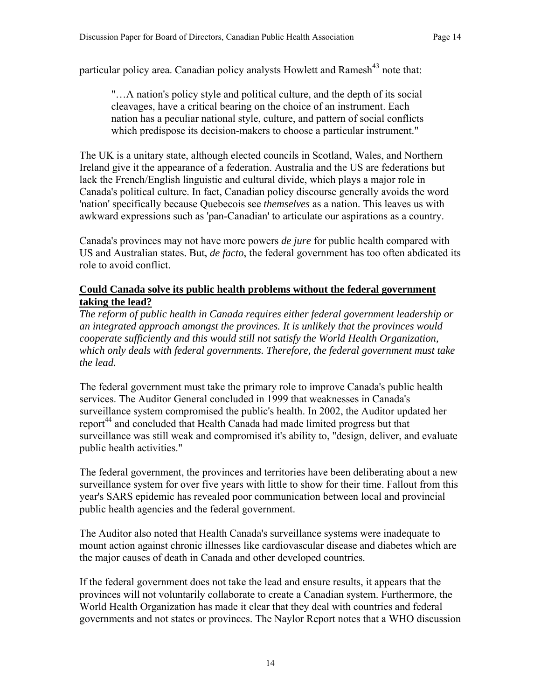particular policy area. Canadian policy analysts Howlett and Ramesh<sup>43</sup> note that:

"…A nation's policy style and political culture, and the depth of its social cleavages, have a critical bearing on the choice of an instrument. Each nation has a peculiar national style, culture, and pattern of social conflicts which predispose its decision-makers to choose a particular instrument."

The UK is a unitary state, although elected councils in Scotland, Wales, and Northern Ireland give it the appearance of a federation. Australia and the US are federations but lack the French/English linguistic and cultural divide, which plays a major role in Canada's political culture. In fact, Canadian policy discourse generally avoids the word 'nation' specifically because Quebecois see *themselves* as a nation. This leaves us with awkward expressions such as 'pan-Canadian' to articulate our aspirations as a country.

Canada's provinces may not have more powers *de jure* for public health compared with US and Australian states. But, *de facto*, the federal government has too often abdicated its role to avoid conflict.

#### **Could Canada solve its public health problems without the federal government taking the lead?**

*The reform of public health in Canada requires either federal government leadership or an integrated approach amongst the provinces. It is unlikely that the provinces would cooperate sufficiently and this would still not satisfy the World Health Organization, which only deals with federal governments. Therefore, the federal government must take the lead.* 

The federal government must take the primary role to improve Canada's public health services. The Auditor General concluded in 1999 that weaknesses in Canada's surveillance system compromised the public's health. In 2002, the Auditor updated her report<sup>44</sup> and concluded that Health Canada had made limited progress but that surveillance was still weak and compromised it's ability to, "design, deliver, and evaluate public health activities."

The federal government, the provinces and territories have been deliberating about a new surveillance system for over five years with little to show for their time. Fallout from this year's SARS epidemic has revealed poor communication between local and provincial public health agencies and the federal government.

The Auditor also noted that Health Canada's surveillance systems were inadequate to mount action against chronic illnesses like cardiovascular disease and diabetes which are the major causes of death in Canada and other developed countries.

If the federal government does not take the lead and ensure results, it appears that the provinces will not voluntarily collaborate to create a Canadian system. Furthermore, the World Health Organization has made it clear that they deal with countries and federal governments and not states or provinces. The Naylor Report notes that a WHO discussion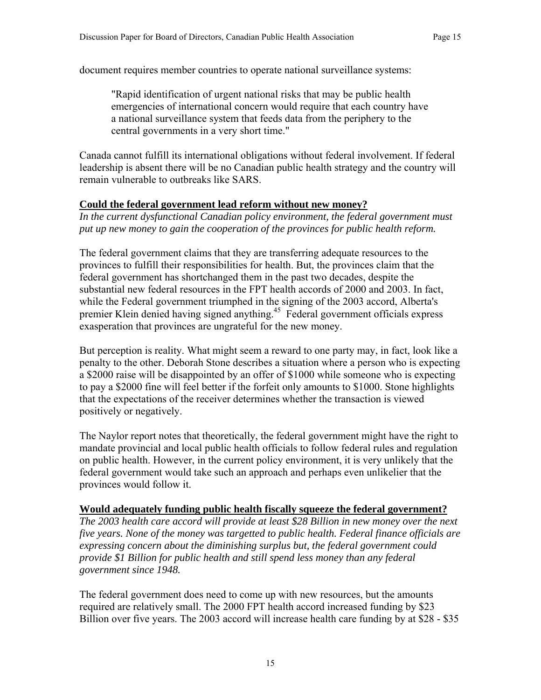document requires member countries to operate national surveillance systems:

"Rapid identification of urgent national risks that may be public health emergencies of international concern would require that each country have a national surveillance system that feeds data from the periphery to the central governments in a very short time."

Canada cannot fulfill its international obligations without federal involvement. If federal leadership is absent there will be no Canadian public health strategy and the country will remain vulnerable to outbreaks like SARS.

#### **Could the federal government lead reform without new money?**

*In the current dysfunctional Canadian policy environment, the federal government must put up new money to gain the cooperation of the provinces for public health reform.* 

The federal government claims that they are transferring adequate resources to the provinces to fulfill their responsibilities for health. But, the provinces claim that the federal government has shortchanged them in the past two decades, despite the substantial new federal resources in the FPT health accords of 2000 and 2003. In fact, while the Federal government triumphed in the signing of the 2003 accord, Alberta's premier Klein denied having signed anything.45 Federal government officials express exasperation that provinces are ungrateful for the new money.

But perception is reality. What might seem a reward to one party may, in fact, look like a penalty to the other. Deborah Stone describes a situation where a person who is expecting a \$2000 raise will be disappointed by an offer of \$1000 while someone who is expecting to pay a \$2000 fine will feel better if the forfeit only amounts to \$1000. Stone highlights that the expectations of the receiver determines whether the transaction is viewed positively or negatively.

The Naylor report notes that theoretically, the federal government might have the right to mandate provincial and local public health officials to follow federal rules and regulation on public health. However, in the current policy environment, it is very unlikely that the federal government would take such an approach and perhaps even unlikelier that the provinces would follow it.

#### **Would adequately funding public health fiscally squeeze the federal government?**

*The 2003 health care accord will provide at least \$28 Billion in new money over the next five years. None of the money was targetted to public health. Federal finance officials are expressing concern about the diminishing surplus but, the federal government could provide \$1 Billion for public health and still spend less money than any federal government since 1948.* 

The federal government does need to come up with new resources, but the amounts required are relatively small. The 2000 FPT health accord increased funding by \$23 Billion over five years. The 2003 accord will increase health care funding by at \$28 - \$35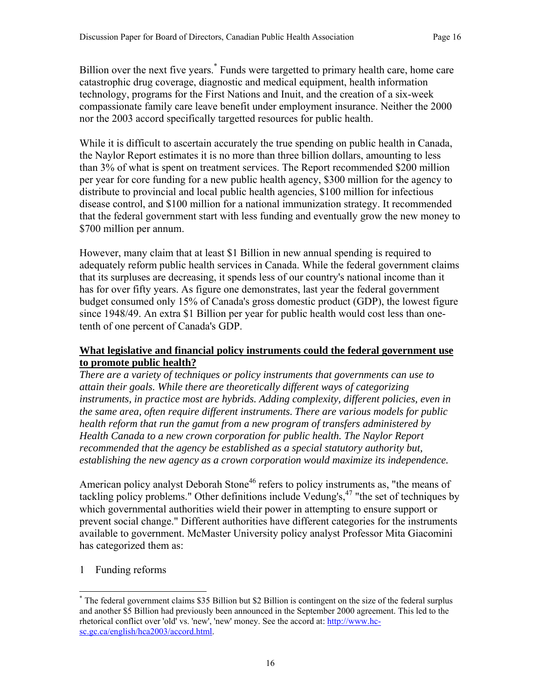Billion over the next five years.\* Funds were targetted to primary health care, home care catastrophic drug coverage, diagnostic and medical equipment, health information technology, programs for the First Nations and Inuit, and the creation of a six-week compassionate family care leave benefit under employment insurance. Neither the 2000 nor the 2003 accord specifically targetted resources for public health.

While it is difficult to ascertain accurately the true spending on public health in Canada, the Naylor Report estimates it is no more than three billion dollars, amounting to less than 3% of what is spent on treatment services. The Report recommended \$200 million per year for core funding for a new public health agency, \$300 million for the agency to distribute to provincial and local public health agencies, \$100 million for infectious disease control, and \$100 million for a national immunization strategy. It recommended that the federal government start with less funding and eventually grow the new money to \$700 million per annum.

However, many claim that at least \$1 Billion in new annual spending is required to adequately reform public health services in Canada. While the federal government claims that its surpluses are decreasing, it spends less of our country's national income than it has for over fifty years. As figure one demonstrates, last year the federal government budget consumed only 15% of Canada's gross domestic product (GDP), the lowest figure since 1948/49. An extra \$1 Billion per year for public health would cost less than onetenth of one percent of Canada's GDP.

#### **What legislative and financial policy instruments could the federal government use to promote public health?**

*There are a variety of techniques or policy instruments that governments can use to attain their goals. While there are theoretically different ways of categorizing instruments, in practice most are hybrids. Adding complexity, different policies, even in the same area, often require different instruments. There are various models for public health reform that run the gamut from a new program of transfers administered by Health Canada to a new crown corporation for public health. The Naylor Report recommended that the agency be established as a special statutory authority but, establishing the new agency as a crown corporation would maximize its independence.* 

American policy analyst Deborah Stone<sup>46</sup> refers to policy instruments as, "the means of tackling policy problems." Other definitions include Vedung's,<sup>47</sup> "the set of techniques by which governmental authorities wield their power in attempting to ensure support or prevent social change." Different authorities have different categories for the instruments available to government. McMaster University policy analyst Professor Mita Giacomini has categorized them as:

1 Funding reforms

 $\overline{a}$ \* The federal government claims \$35 Billion but \$2 Billion is contingent on the size of the federal surplus and another \$5 Billion had previously been announced in the September 2000 agreement. This led to the rhetorical conflict over 'old' vs. 'new', 'new' money. See the accord at: http://www.hcsc.gc.ca/english/hca2003/accord.html.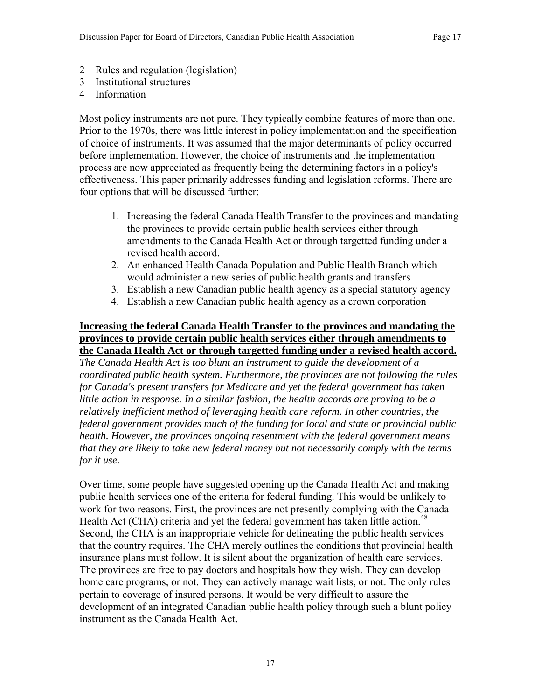- 2 Rules and regulation (legislation)
- 3 Institutional structures
- 4 Information

Most policy instruments are not pure. They typically combine features of more than one. Prior to the 1970s, there was little interest in policy implementation and the specification of choice of instruments. It was assumed that the major determinants of policy occurred before implementation. However, the choice of instruments and the implementation process are now appreciated as frequently being the determining factors in a policy's effectiveness. This paper primarily addresses funding and legislation reforms. There are four options that will be discussed further:

- 1. Increasing the federal Canada Health Transfer to the provinces and mandating the provinces to provide certain public health services either through amendments to the Canada Health Act or through targetted funding under a revised health accord.
- 2. An enhanced Health Canada Population and Public Health Branch which would administer a new series of public health grants and transfers
- 3. Establish a new Canadian public health agency as a special statutory agency
- 4. Establish a new Canadian public health agency as a crown corporation

#### **Increasing the federal Canada Health Transfer to the provinces and mandating the provinces to provide certain public health services either through amendments to the Canada Health Act or through targetted funding under a revised health accord.**

*The Canada Health Act is too blunt an instrument to guide the development of a coordinated public health system. Furthermore, the provinces are not following the rules for Canada's present transfers for Medicare and yet the federal government has taken little action in response. In a similar fashion, the health accords are proving to be a relatively inefficient method of leveraging health care reform. In other countries, the federal government provides much of the funding for local and state or provincial public health. However, the provinces ongoing resentment with the federal government means that they are likely to take new federal money but not necessarily comply with the terms for it use.* 

Over time, some people have suggested opening up the Canada Health Act and making public health services one of the criteria for federal funding. This would be unlikely to work for two reasons. First, the provinces are not presently complying with the Canada Health Act (CHA) criteria and yet the federal government has taken little action.<sup>48</sup> Second, the CHA is an inappropriate vehicle for delineating the public health services that the country requires. The CHA merely outlines the conditions that provincial health insurance plans must follow. It is silent about the organization of health care services. The provinces are free to pay doctors and hospitals how they wish. They can develop home care programs, or not. They can actively manage wait lists, or not. The only rules pertain to coverage of insured persons. It would be very difficult to assure the development of an integrated Canadian public health policy through such a blunt policy instrument as the Canada Health Act.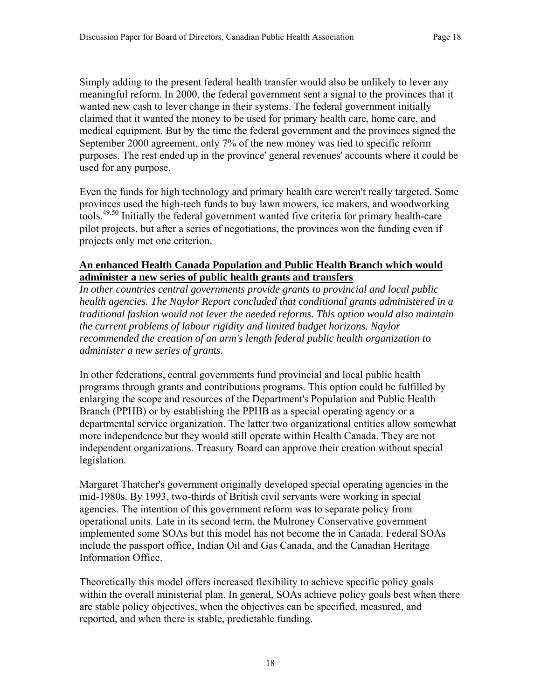Simply adding to the present federal health transfer would also be unlikely to lever any meaningful reform. In 2000, the federal government sent a signal to the provinces that it wanted new cash to lever change in their systems. The federal government initially claimed that it wanted the money to be used for primary health care, home care, and medical equipment. But by the time the federal government and the provinces signed the September 2000 agreement, only 7% of the new money was tied to specific reform purposes. The rest ended up in the province' general revenues' accounts where it could be used for any purpose.

Even the funds for high technology and primary health care weren't really targeted. Some provinces used the high-tech funds to buy lawn mowers, ice makers, and woodworking tools.49,50 Initially the federal government wanted five criteria for primary health-care pilot projects, but after a series of negotiations, the provinces won the funding even if projects only met one criterion.

#### **An enhanced Health Canada Population and Public Health Branch which would administer a new series of public health grants and transfers**

*In other countries central governments provide grants to provincial and local public health agencies. The Naylor Report concluded that conditional grants administered in a traditional fashion would not lever the needed reforms. This option would also maintain the current problems of labour rigidity and limited budget horizons. Naylor recommended the creation of an arm's length federal public health organization to administer a new series of grants.* 

In other federations, central governments fund provincial and local public health programs through grants and contributions programs. This option could be fulfilled by enlarging the scope and resources of the Department's Population and Public Health Branch (PPHB) or by establishing the PPHB as a special operating agency or a departmental service organization. The latter two organizational entities allow somewhat more independence but they would still operate within Health Canada. They are not independent organizations. Treasury Board can approve their creation without special legislation.

Margaret Thatcher's government originally developed special operating agencies in the mid-1980s. By 1993, two-thirds of British civil servants were working in special agencies. The intention of this government reform was to separate policy from operational units. Late in its second term, the Mulroney Conservative government implemented some SOAs but this model has not become the in Canada. Federal SOAs include the passport office, Indian Oil and Gas Canada, and the Canadian Heritage Information Office.

Theoretically this model offers increased flexibility to achieve specific policy goals within the overall ministerial plan. In general, SOAs achieve policy goals best when there are stable policy objectives, when the objectives can be specified, measured, and reported, and when there is stable, predictable funding.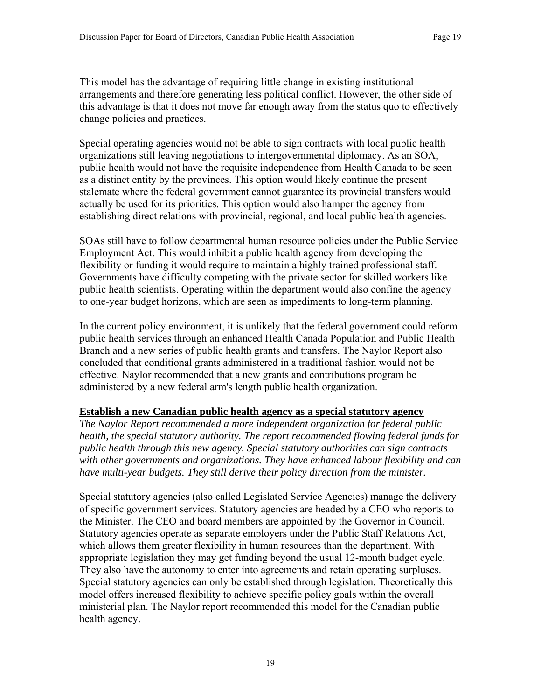This model has the advantage of requiring little change in existing institutional arrangements and therefore generating less political conflict. However, the other side of this advantage is that it does not move far enough away from the status quo to effectively change policies and practices.

Special operating agencies would not be able to sign contracts with local public health organizations still leaving negotiations to intergovernmental diplomacy. As an SOA, public health would not have the requisite independence from Health Canada to be seen as a distinct entity by the provinces. This option would likely continue the present stalemate where the federal government cannot guarantee its provincial transfers would actually be used for its priorities. This option would also hamper the agency from establishing direct relations with provincial, regional, and local public health agencies.

SOAs still have to follow departmental human resource policies under the Public Service Employment Act. This would inhibit a public health agency from developing the flexibility or funding it would require to maintain a highly trained professional staff. Governments have difficulty competing with the private sector for skilled workers like public health scientists. Operating within the department would also confine the agency to one-year budget horizons, which are seen as impediments to long-term planning.

In the current policy environment, it is unlikely that the federal government could reform public health services through an enhanced Health Canada Population and Public Health Branch and a new series of public health grants and transfers. The Naylor Report also concluded that conditional grants administered in a traditional fashion would not be effective. Naylor recommended that a new grants and contributions program be administered by a new federal arm's length public health organization.

#### **Establish a new Canadian public health agency as a special statutory agency**

*The Naylor Report recommended a more independent organization for federal public health, the special statutory authority. The report recommended flowing federal funds for public health through this new agency. Special statutory authorities can sign contracts with other governments and organizations. They have enhanced labour flexibility and can have multi-year budgets. They still derive their policy direction from the minister.* 

Special statutory agencies (also called Legislated Service Agencies) manage the delivery of specific government services. Statutory agencies are headed by a CEO who reports to the Minister. The CEO and board members are appointed by the Governor in Council. Statutory agencies operate as separate employers under the Public Staff Relations Act, which allows them greater flexibility in human resources than the department. With appropriate legislation they may get funding beyond the usual 12-month budget cycle. They also have the autonomy to enter into agreements and retain operating surpluses. Special statutory agencies can only be established through legislation. Theoretically this model offers increased flexibility to achieve specific policy goals within the overall ministerial plan. The Naylor report recommended this model for the Canadian public health agency.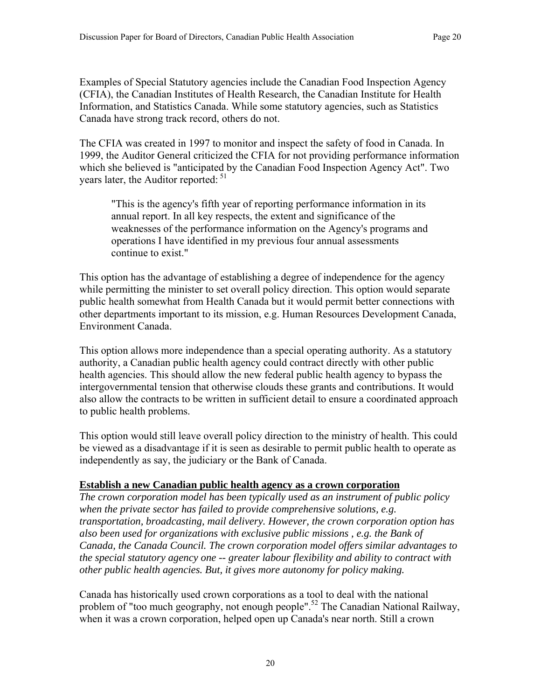Examples of Special Statutory agencies include the Canadian Food Inspection Agency (CFIA), the Canadian Institutes of Health Research, the Canadian Institute for Health Information, and Statistics Canada. While some statutory agencies, such as Statistics Canada have strong track record, others do not.

The CFIA was created in 1997 to monitor and inspect the safety of food in Canada. In 1999, the Auditor General criticized the CFIA for not providing performance information which she believed is "anticipated by the Canadian Food Inspection Agency Act". Two years later, the Auditor reported:  $51$ 

"This is the agency's fifth year of reporting performance information in its annual report. In all key respects, the extent and significance of the weaknesses of the performance information on the Agency's programs and operations I have identified in my previous four annual assessments continue to exist."

This option has the advantage of establishing a degree of independence for the agency while permitting the minister to set overall policy direction. This option would separate public health somewhat from Health Canada but it would permit better connections with other departments important to its mission, e.g. Human Resources Development Canada, Environment Canada.

This option allows more independence than a special operating authority. As a statutory authority, a Canadian public health agency could contract directly with other public health agencies. This should allow the new federal public health agency to bypass the intergovernmental tension that otherwise clouds these grants and contributions. It would also allow the contracts to be written in sufficient detail to ensure a coordinated approach to public health problems.

This option would still leave overall policy direction to the ministry of health. This could be viewed as a disadvantage if it is seen as desirable to permit public health to operate as independently as say, the judiciary or the Bank of Canada.

#### **Establish a new Canadian public health agency as a crown corporation**

*The crown corporation model has been typically used as an instrument of public policy when the private sector has failed to provide comprehensive solutions, e.g. transportation, broadcasting, mail delivery. However, the crown corporation option has also been used for organizations with exclusive public missions , e.g. the Bank of Canada, the Canada Council. The crown corporation model offers similar advantages to the special statutory agency one -- greater labour flexibility and ability to contract with other public health agencies. But, it gives more autonomy for policy making.* 

Canada has historically used crown corporations as a tool to deal with the national problem of "too much geography, not enough people".52 The Canadian National Railway, when it was a crown corporation, helped open up Canada's near north. Still a crown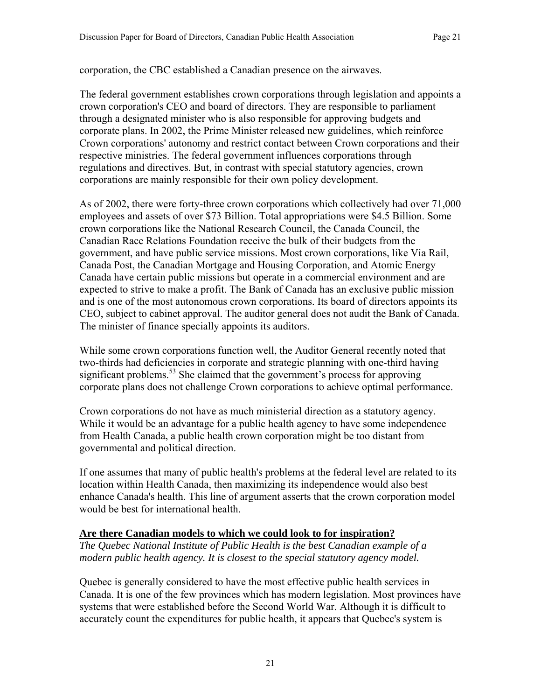corporation, the CBC established a Canadian presence on the airwaves.

The federal government establishes crown corporations through legislation and appoints a crown corporation's CEO and board of directors. They are responsible to parliament through a designated minister who is also responsible for approving budgets and corporate plans. In 2002, the Prime Minister released new guidelines, which reinforce Crown corporations' autonomy and restrict contact between Crown corporations and their respective ministries. The federal government influences corporations through regulations and directives. But, in contrast with special statutory agencies, crown corporations are mainly responsible for their own policy development.

As of 2002, there were forty-three crown corporations which collectively had over 71,000 employees and assets of over \$73 Billion. Total appropriations were \$4.5 Billion. Some crown corporations like the National Research Council, the Canada Council, the Canadian Race Relations Foundation receive the bulk of their budgets from the government, and have public service missions. Most crown corporations, like Via Rail, Canada Post, the Canadian Mortgage and Housing Corporation, and Atomic Energy Canada have certain public missions but operate in a commercial environment and are expected to strive to make a profit. The Bank of Canada has an exclusive public mission and is one of the most autonomous crown corporations. Its board of directors appoints its CEO, subject to cabinet approval. The auditor general does not audit the Bank of Canada. The minister of finance specially appoints its auditors.

While some crown corporations function well, the Auditor General recently noted that two-thirds had deficiencies in corporate and strategic planning with one-third having significant problems.<sup>53</sup> She claimed that the government's process for approving corporate plans does not challenge Crown corporations to achieve optimal performance.

Crown corporations do not have as much ministerial direction as a statutory agency. While it would be an advantage for a public health agency to have some independence from Health Canada, a public health crown corporation might be too distant from governmental and political direction.

If one assumes that many of public health's problems at the federal level are related to its location within Health Canada, then maximizing its independence would also best enhance Canada's health. This line of argument asserts that the crown corporation model would be best for international health.

#### **Are there Canadian models to which we could look to for inspiration?**

*The Quebec National Institute of Public Health is the best Canadian example of a modern public health agency. It is closest to the special statutory agency model.* 

Quebec is generally considered to have the most effective public health services in Canada. It is one of the few provinces which has modern legislation. Most provinces have systems that were established before the Second World War. Although it is difficult to accurately count the expenditures for public health, it appears that Quebec's system is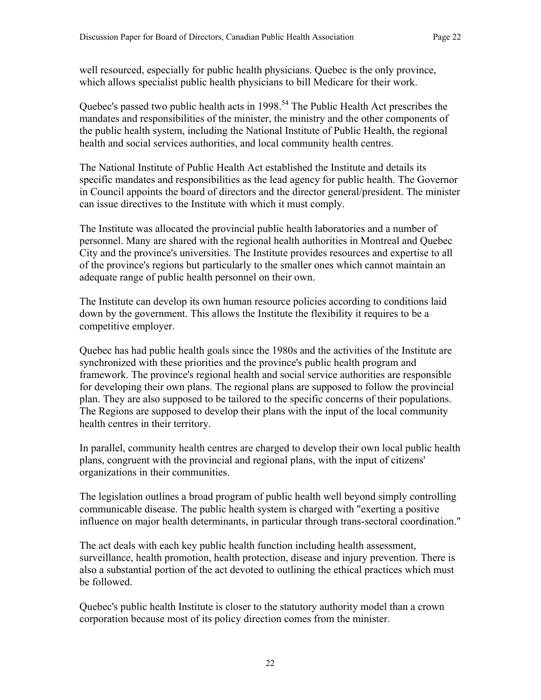well resourced, especially for public health physicians. Quebec is the only province, which allows specialist public health physicians to bill Medicare for their work.

Quebec's passed two public health acts in 1998.<sup>54</sup> The Public Health Act prescribes the mandates and responsibilities of the minister, the ministry and the other components of the public health system, including the National Institute of Public Health, the regional health and social services authorities, and local community health centres.

The National Institute of Public Health Act established the Institute and details its specific mandates and responsibilities as the lead agency for public health. The Governor in Council appoints the board of directors and the director general/president. The minister can issue directives to the Institute with which it must comply.

The Institute was allocated the provincial public health laboratories and a number of personnel. Many are shared with the regional health authorities in Montreal and Quebec City and the province's universities. The Institute provides resources and expertise to all of the province's regions but particularly to the smaller ones which cannot maintain an adequate range of public health personnel on their own.

The Institute can develop its own human resource policies according to conditions laid down by the government. This allows the Institute the flexibility it requires to be a competitive employer.

Quebec has had public health goals since the 1980s and the activities of the Institute are synchronized with these priorities and the province's public health program and framework. The province's regional health and social service authorities are responsible for developing their own plans. The regional plans are supposed to follow the provincial plan. They are also supposed to be tailored to the specific concerns of their populations. The Regions are supposed to develop their plans with the input of the local community health centres in their territory.

In parallel, community health centres are charged to develop their own local public health plans, congruent with the provincial and regional plans, with the input of citizens' organizations in their communities.

The legislation outlines a broad program of public health well beyond simply controlling communicable disease. The public health system is charged with "exerting a positive influence on major health determinants, in particular through trans-sectoral coordination."

The act deals with each key public health function including health assessment, surveillance, health promotion, health protection, disease and injury prevention. There is also a substantial portion of the act devoted to outlining the ethical practices which must be followed.

Quebec's public health Institute is closer to the statutory authority model than a crown corporation because most of its policy direction comes from the minister.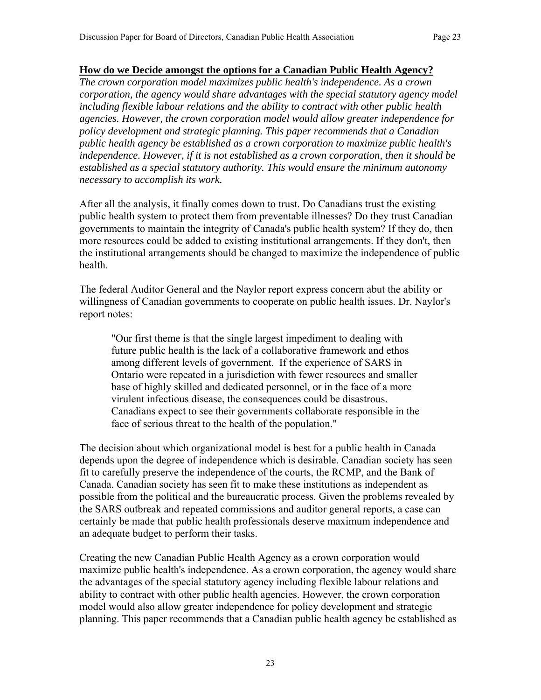#### **How do we Decide amongst the options for a Canadian Public Health Agency?**

*The crown corporation model maximizes public health's independence. As a crown corporation, the agency would share advantages with the special statutory agency model including flexible labour relations and the ability to contract with other public health agencies. However, the crown corporation model would allow greater independence for policy development and strategic planning. This paper recommends that a Canadian public health agency be established as a crown corporation to maximize public health's independence. However, if it is not established as a crown corporation, then it should be established as a special statutory authority. This would ensure the minimum autonomy necessary to accomplish its work.* 

After all the analysis, it finally comes down to trust. Do Canadians trust the existing public health system to protect them from preventable illnesses? Do they trust Canadian governments to maintain the integrity of Canada's public health system? If they do, then more resources could be added to existing institutional arrangements. If they don't, then the institutional arrangements should be changed to maximize the independence of public health.

The federal Auditor General and the Naylor report express concern abut the ability or willingness of Canadian governments to cooperate on public health issues. Dr. Naylor's report notes:

"Our first theme is that the single largest impediment to dealing with future public health is the lack of a collaborative framework and ethos among different levels of government. If the experience of SARS in Ontario were repeated in a jurisdiction with fewer resources and smaller base of highly skilled and dedicated personnel, or in the face of a more virulent infectious disease, the consequences could be disastrous. Canadians expect to see their governments collaborate responsible in the face of serious threat to the health of the population."

The decision about which organizational model is best for a public health in Canada depends upon the degree of independence which is desirable. Canadian society has seen fit to carefully preserve the independence of the courts, the RCMP, and the Bank of Canada. Canadian society has seen fit to make these institutions as independent as possible from the political and the bureaucratic process. Given the problems revealed by the SARS outbreak and repeated commissions and auditor general reports, a case can certainly be made that public health professionals deserve maximum independence and an adequate budget to perform their tasks.

Creating the new Canadian Public Health Agency as a crown corporation would maximize public health's independence. As a crown corporation, the agency would share the advantages of the special statutory agency including flexible labour relations and ability to contract with other public health agencies. However, the crown corporation model would also allow greater independence for policy development and strategic planning. This paper recommends that a Canadian public health agency be established as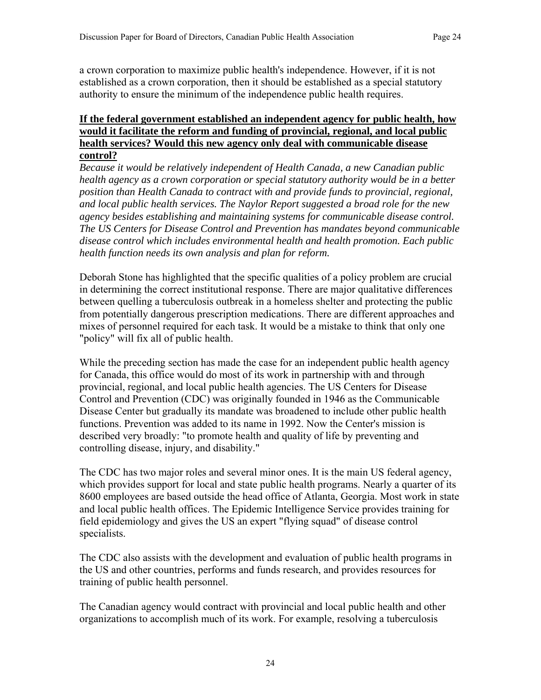a crown corporation to maximize public health's independence. However, if it is not established as a crown corporation, then it should be established as a special statutory authority to ensure the minimum of the independence public health requires.

#### **If the federal government established an independent agency for public health, how would it facilitate the reform and funding of provincial, regional, and local public health services? Would this new agency only deal with communicable disease control?**

*Because it would be relatively independent of Health Canada, a new Canadian public health agency as a crown corporation or special statutory authority would be in a better position than Health Canada to contract with and provide funds to provincial, regional, and local public health services. The Naylor Report suggested a broad role for the new agency besides establishing and maintaining systems for communicable disease control. The US Centers for Disease Control and Prevention has mandates beyond communicable disease control which includes environmental health and health promotion. Each public health function needs its own analysis and plan for reform.* 

Deborah Stone has highlighted that the specific qualities of a policy problem are crucial in determining the correct institutional response. There are major qualitative differences between quelling a tuberculosis outbreak in a homeless shelter and protecting the public from potentially dangerous prescription medications. There are different approaches and mixes of personnel required for each task. It would be a mistake to think that only one "policy" will fix all of public health.

While the preceding section has made the case for an independent public health agency for Canada, this office would do most of its work in partnership with and through provincial, regional, and local public health agencies. The US Centers for Disease Control and Prevention (CDC) was originally founded in 1946 as the Communicable Disease Center but gradually its mandate was broadened to include other public health functions. Prevention was added to its name in 1992. Now the Center's mission is described very broadly: "to promote health and quality of life by preventing and controlling disease, injury, and disability."

The CDC has two major roles and several minor ones. It is the main US federal agency, which provides support for local and state public health programs. Nearly a quarter of its 8600 employees are based outside the head office of Atlanta, Georgia. Most work in state and local public health offices. The Epidemic Intelligence Service provides training for field epidemiology and gives the US an expert "flying squad" of disease control specialists.

The CDC also assists with the development and evaluation of public health programs in the US and other countries, performs and funds research, and provides resources for training of public health personnel.

The Canadian agency would contract with provincial and local public health and other organizations to accomplish much of its work. For example, resolving a tuberculosis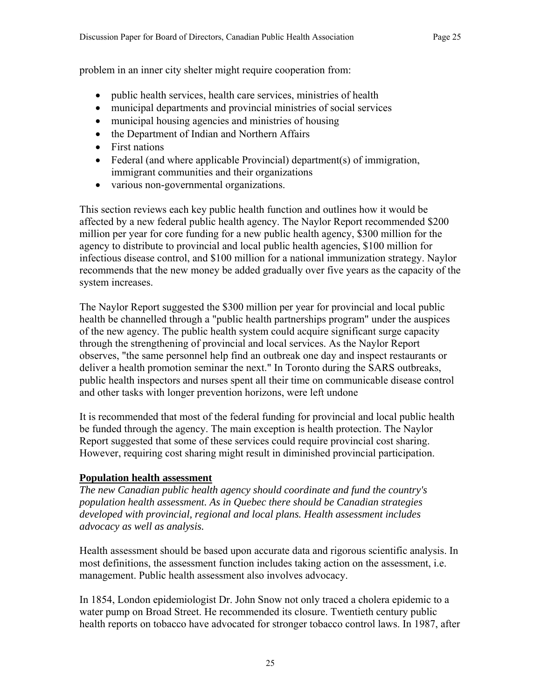problem in an inner city shelter might require cooperation from:

- public health services, health care services, ministries of health
- municipal departments and provincial ministries of social services
- municipal housing agencies and ministries of housing
- the Department of Indian and Northern Affairs
- First nations
- Federal (and where applicable Provincial) department(s) of immigration, immigrant communities and their organizations
- various non-governmental organizations.

This section reviews each key public health function and outlines how it would be affected by a new federal public health agency. The Naylor Report recommended \$200 million per year for core funding for a new public health agency, \$300 million for the agency to distribute to provincial and local public health agencies, \$100 million for infectious disease control, and \$100 million for a national immunization strategy. Naylor recommends that the new money be added gradually over five years as the capacity of the system increases.

The Naylor Report suggested the \$300 million per year for provincial and local public health be channelled through a "public health partnerships program" under the auspices of the new agency. The public health system could acquire significant surge capacity through the strengthening of provincial and local services. As the Naylor Report observes, "the same personnel help find an outbreak one day and inspect restaurants or deliver a health promotion seminar the next." In Toronto during the SARS outbreaks, public health inspectors and nurses spent all their time on communicable disease control and other tasks with longer prevention horizons, were left undone

It is recommended that most of the federal funding for provincial and local public health be funded through the agency. The main exception is health protection. The Naylor Report suggested that some of these services could require provincial cost sharing. However, requiring cost sharing might result in diminished provincial participation.

## **Population health assessment**

*The new Canadian public health agency should coordinate and fund the country's population health assessment. As in Quebec there should be Canadian strategies developed with provincial, regional and local plans. Health assessment includes advocacy as well as analysis.* 

Health assessment should be based upon accurate data and rigorous scientific analysis. In most definitions, the assessment function includes taking action on the assessment, i.e. management. Public health assessment also involves advocacy.

In 1854, London epidemiologist Dr. John Snow not only traced a cholera epidemic to a water pump on Broad Street. He recommended its closure. Twentieth century public health reports on tobacco have advocated for stronger tobacco control laws. In 1987, after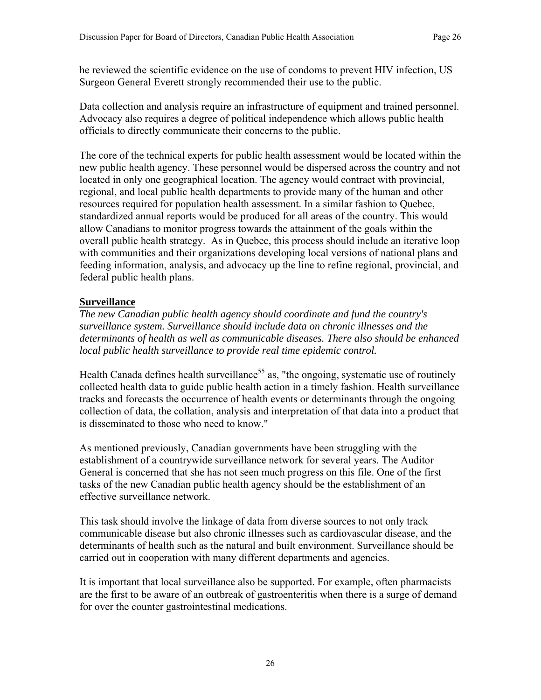he reviewed the scientific evidence on the use of condoms to prevent HIV infection, US Surgeon General Everett strongly recommended their use to the public.

Data collection and analysis require an infrastructure of equipment and trained personnel. Advocacy also requires a degree of political independence which allows public health officials to directly communicate their concerns to the public.

The core of the technical experts for public health assessment would be located within the new public health agency. These personnel would be dispersed across the country and not located in only one geographical location. The agency would contract with provincial, regional, and local public health departments to provide many of the human and other resources required for population health assessment. In a similar fashion to Quebec, standardized annual reports would be produced for all areas of the country. This would allow Canadians to monitor progress towards the attainment of the goals within the overall public health strategy. As in Quebec, this process should include an iterative loop with communities and their organizations developing local versions of national plans and feeding information, analysis, and advocacy up the line to refine regional, provincial, and federal public health plans.

#### **Surveillance**

*The new Canadian public health agency should coordinate and fund the country's surveillance system. Surveillance should include data on chronic illnesses and the determinants of health as well as communicable diseases. There also should be enhanced local public health surveillance to provide real time epidemic control.* 

Health Canada defines health surveillance<sup>55</sup> as, "the ongoing, systematic use of routinely collected health data to guide public health action in a timely fashion. Health surveillance tracks and forecasts the occurrence of health events or determinants through the ongoing collection of data, the collation, analysis and interpretation of that data into a product that is disseminated to those who need to know."

As mentioned previously, Canadian governments have been struggling with the establishment of a countrywide surveillance network for several years. The Auditor General is concerned that she has not seen much progress on this file. One of the first tasks of the new Canadian public health agency should be the establishment of an effective surveillance network.

This task should involve the linkage of data from diverse sources to not only track communicable disease but also chronic illnesses such as cardiovascular disease, and the determinants of health such as the natural and built environment. Surveillance should be carried out in cooperation with many different departments and agencies.

It is important that local surveillance also be supported. For example, often pharmacists are the first to be aware of an outbreak of gastroenteritis when there is a surge of demand for over the counter gastrointestinal medications.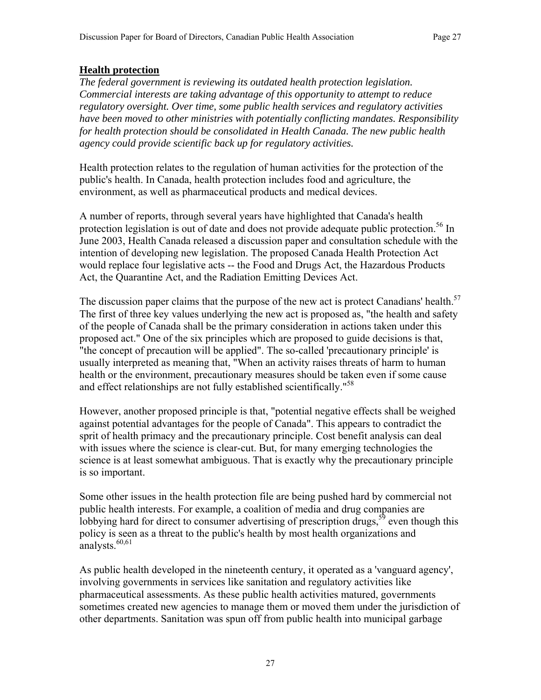#### **Health protection**

*The federal government is reviewing its outdated health protection legislation. Commercial interests are taking advantage of this opportunity to attempt to reduce regulatory oversight. Over time, some public health services and regulatory activities have been moved to other ministries with potentially conflicting mandates. Responsibility for health protection should be consolidated in Health Canada. The new public health agency could provide scientific back up for regulatory activities.* 

Health protection relates to the regulation of human activities for the protection of the public's health. In Canada, health protection includes food and agriculture, the environment, as well as pharmaceutical products and medical devices.

A number of reports, through several years have highlighted that Canada's health protection legislation is out of date and does not provide adequate public protection.<sup>56</sup> In June 2003, Health Canada released a discussion paper and consultation schedule with the intention of developing new legislation. The proposed Canada Health Protection Act would replace four legislative acts -- the Food and Drugs Act, the Hazardous Products Act, the Quarantine Act, and the Radiation Emitting Devices Act.

The discussion paper claims that the purpose of the new act is protect Canadians' health.<sup>57</sup> The first of three key values underlying the new act is proposed as, "the health and safety of the people of Canada shall be the primary consideration in actions taken under this proposed act." One of the six principles which are proposed to guide decisions is that, "the concept of precaution will be applied". The so-called 'precautionary principle' is usually interpreted as meaning that, "When an activity raises threats of harm to human health or the environment, precautionary measures should be taken even if some cause and effect relationships are not fully established scientifically."<sup>58</sup>

However, another proposed principle is that, "potential negative effects shall be weighed against potential advantages for the people of Canada". This appears to contradict the sprit of health primacy and the precautionary principle. Cost benefit analysis can deal with issues where the science is clear-cut. But, for many emerging technologies the science is at least somewhat ambiguous. That is exactly why the precautionary principle is so important.

Some other issues in the health protection file are being pushed hard by commercial not public health interests. For example, a coalition of media and drug companies are lobbying hard for direct to consumer advertising of prescription drugs,<sup>59</sup> even though this policy is seen as a threat to the public's health by most health organizations and analysts. $60,61$ 

As public health developed in the nineteenth century, it operated as a 'vanguard agency', involving governments in services like sanitation and regulatory activities like pharmaceutical assessments. As these public health activities matured, governments sometimes created new agencies to manage them or moved them under the jurisdiction of other departments. Sanitation was spun off from public health into municipal garbage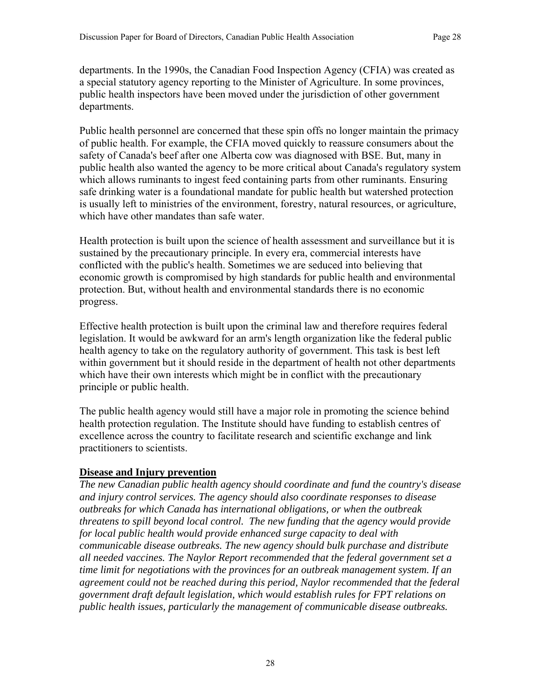departments. In the 1990s, the Canadian Food Inspection Agency (CFIA) was created as a special statutory agency reporting to the Minister of Agriculture. In some provinces, public health inspectors have been moved under the jurisdiction of other government departments.

Public health personnel are concerned that these spin offs no longer maintain the primacy of public health. For example, the CFIA moved quickly to reassure consumers about the safety of Canada's beef after one Alberta cow was diagnosed with BSE. But, many in public health also wanted the agency to be more critical about Canada's regulatory system which allows ruminants to ingest feed containing parts from other ruminants. Ensuring safe drinking water is a foundational mandate for public health but watershed protection is usually left to ministries of the environment, forestry, natural resources, or agriculture, which have other mandates than safe water.

Health protection is built upon the science of health assessment and surveillance but it is sustained by the precautionary principle. In every era, commercial interests have conflicted with the public's health. Sometimes we are seduced into believing that economic growth is compromised by high standards for public health and environmental protection. But, without health and environmental standards there is no economic progress.

Effective health protection is built upon the criminal law and therefore requires federal legislation. It would be awkward for an arm's length organization like the federal public health agency to take on the regulatory authority of government. This task is best left within government but it should reside in the department of health not other departments which have their own interests which might be in conflict with the precautionary principle or public health.

The public health agency would still have a major role in promoting the science behind health protection regulation. The Institute should have funding to establish centres of excellence across the country to facilitate research and scientific exchange and link practitioners to scientists.

#### **Disease and Injury prevention**

*The new Canadian public health agency should coordinate and fund the country's disease and injury control services. The agency should also coordinate responses to disease outbreaks for which Canada has international obligations, or when the outbreak threatens to spill beyond local control. The new funding that the agency would provide for local public health would provide enhanced surge capacity to deal with communicable disease outbreaks. The new agency should bulk purchase and distribute all needed vaccines. The Naylor Report recommended that the federal government set a time limit for negotiations with the provinces for an outbreak management system. If an agreement could not be reached during this period, Naylor recommended that the federal government draft default legislation, which would establish rules for FPT relations on public health issues, particularly the management of communicable disease outbreaks.*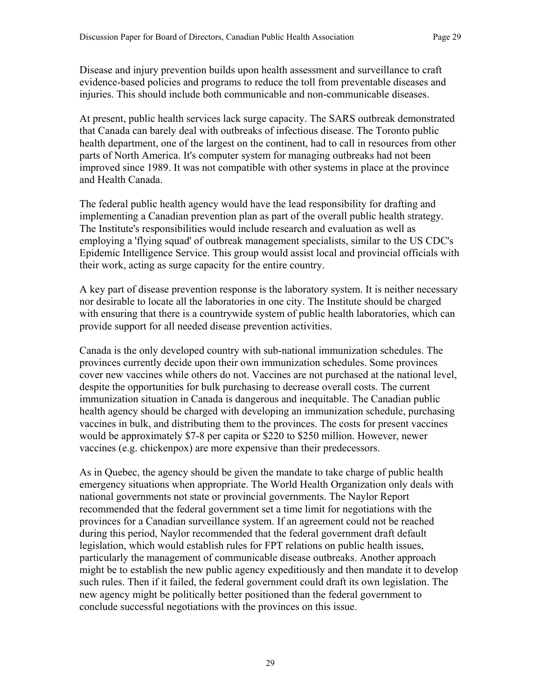Disease and injury prevention builds upon health assessment and surveillance to craft evidence-based policies and programs to reduce the toll from preventable diseases and injuries. This should include both communicable and non-communicable diseases.

At present, public health services lack surge capacity. The SARS outbreak demonstrated that Canada can barely deal with outbreaks of infectious disease. The Toronto public health department, one of the largest on the continent, had to call in resources from other parts of North America. It's computer system for managing outbreaks had not been improved since 1989. It was not compatible with other systems in place at the province and Health Canada.

The federal public health agency would have the lead responsibility for drafting and implementing a Canadian prevention plan as part of the overall public health strategy. The Institute's responsibilities would include research and evaluation as well as employing a 'flying squad' of outbreak management specialists, similar to the US CDC's Epidemic Intelligence Service. This group would assist local and provincial officials with their work, acting as surge capacity for the entire country.

A key part of disease prevention response is the laboratory system. It is neither necessary nor desirable to locate all the laboratories in one city. The Institute should be charged with ensuring that there is a countrywide system of public health laboratories, which can provide support for all needed disease prevention activities.

Canada is the only developed country with sub-national immunization schedules. The provinces currently decide upon their own immunization schedules. Some provinces cover new vaccines while others do not. Vaccines are not purchased at the national level, despite the opportunities for bulk purchasing to decrease overall costs. The current immunization situation in Canada is dangerous and inequitable. The Canadian public health agency should be charged with developing an immunization schedule, purchasing vaccines in bulk, and distributing them to the provinces. The costs for present vaccines would be approximately \$7-8 per capita or \$220 to \$250 million. However, newer vaccines (e.g. chickenpox) are more expensive than their predecessors.

As in Quebec, the agency should be given the mandate to take charge of public health emergency situations when appropriate. The World Health Organization only deals with national governments not state or provincial governments. The Naylor Report recommended that the federal government set a time limit for negotiations with the provinces for a Canadian surveillance system. If an agreement could not be reached during this period, Naylor recommended that the federal government draft default legislation, which would establish rules for FPT relations on public health issues, particularly the management of communicable disease outbreaks. Another approach might be to establish the new public agency expeditiously and then mandate it to develop such rules. Then if it failed, the federal government could draft its own legislation. The new agency might be politically better positioned than the federal government to conclude successful negotiations with the provinces on this issue.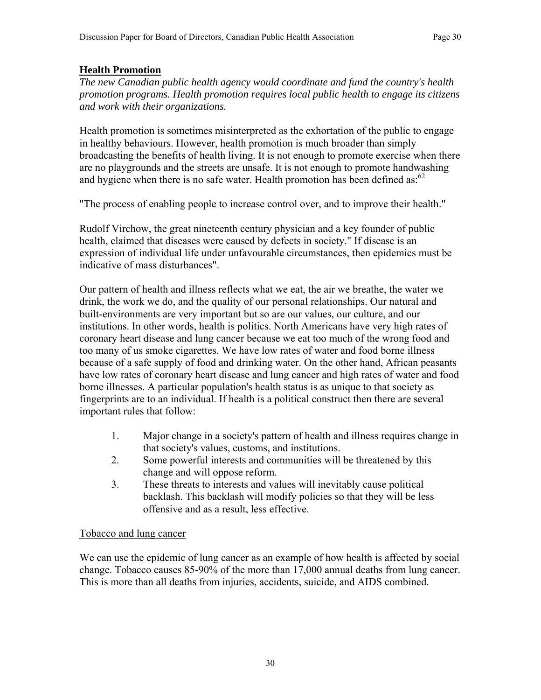## **Health Promotion**

*The new Canadian public health agency would coordinate and fund the country's health promotion programs. Health promotion requires local public health to engage its citizens and work with their organizations.* 

Health promotion is sometimes misinterpreted as the exhortation of the public to engage in healthy behaviours. However, health promotion is much broader than simply broadcasting the benefits of health living. It is not enough to promote exercise when there are no playgrounds and the streets are unsafe. It is not enough to promote handwashing and hygiene when there is no safe water. Health promotion has been defined as:  $62$ 

"The process of enabling people to increase control over, and to improve their health."

Rudolf Virchow, the great nineteenth century physician and a key founder of public health, claimed that diseases were caused by defects in society." If disease is an expression of individual life under unfavourable circumstances, then epidemics must be indicative of mass disturbances".

Our pattern of health and illness reflects what we eat, the air we breathe, the water we drink, the work we do, and the quality of our personal relationships. Our natural and built-environments are very important but so are our values, our culture, and our institutions. In other words, health is politics. North Americans have very high rates of coronary heart disease and lung cancer because we eat too much of the wrong food and too many of us smoke cigarettes. We have low rates of water and food borne illness because of a safe supply of food and drinking water. On the other hand, African peasants have low rates of coronary heart disease and lung cancer and high rates of water and food borne illnesses. A particular population's health status is as unique to that society as fingerprints are to an individual. If health is a political construct then there are several important rules that follow:

- 1. Major change in a society's pattern of health and illness requires change in that society's values, customs, and institutions.
- 2. Some powerful interests and communities will be threatened by this change and will oppose reform.
- 3. These threats to interests and values will inevitably cause political backlash. This backlash will modify policies so that they will be less offensive and as a result, less effective.

#### Tobacco and lung cancer

We can use the epidemic of lung cancer as an example of how health is affected by social change. Tobacco causes 85-90% of the more than 17,000 annual deaths from lung cancer. This is more than all deaths from injuries, accidents, suicide, and AIDS combined.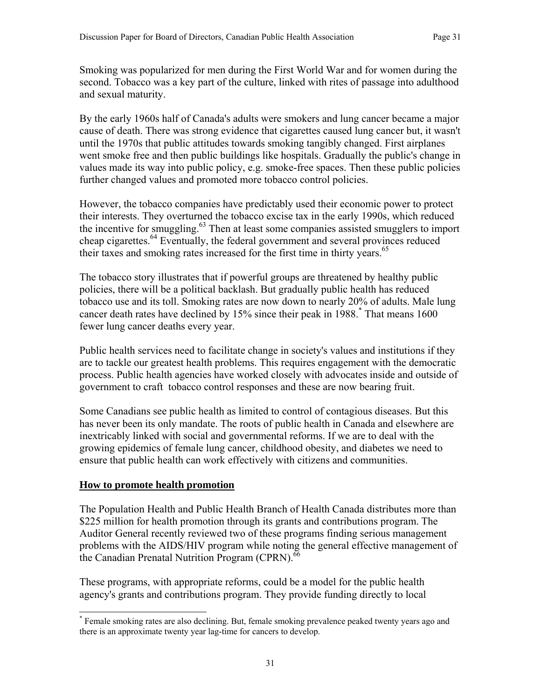Smoking was popularized for men during the First World War and for women during the second. Tobacco was a key part of the culture, linked with rites of passage into adulthood and sexual maturity.

By the early 1960s half of Canada's adults were smokers and lung cancer became a major cause of death. There was strong evidence that cigarettes caused lung cancer but, it wasn't until the 1970s that public attitudes towards smoking tangibly changed. First airplanes went smoke free and then public buildings like hospitals. Gradually the public's change in values made its way into public policy, e.g. smoke-free spaces. Then these public policies further changed values and promoted more tobacco control policies.

However, the tobacco companies have predictably used their economic power to protect their interests. They overturned the tobacco excise tax in the early 1990s, which reduced the incentive for smuggling.<sup>63</sup> Then at least some companies assisted smugglers to import cheap cigarettes.64 Eventually, the federal government and several provinces reduced their taxes and smoking rates increased for the first time in thirty years.<sup>65</sup>

The tobacco story illustrates that if powerful groups are threatened by healthy public policies, there will be a political backlash. But gradually public health has reduced tobacco use and its toll. Smoking rates are now down to nearly 20% of adults. Male lung cancer death rates have declined by 15% since their peak in 1988.\* That means 1600 fewer lung cancer deaths every year.

Public health services need to facilitate change in society's values and institutions if they are to tackle our greatest health problems. This requires engagement with the democratic process. Public health agencies have worked closely with advocates inside and outside of government to craft tobacco control responses and these are now bearing fruit.

Some Canadians see public health as limited to control of contagious diseases. But this has never been its only mandate. The roots of public health in Canada and elsewhere are inextricably linked with social and governmental reforms. If we are to deal with the growing epidemics of female lung cancer, childhood obesity, and diabetes we need to ensure that public health can work effectively with citizens and communities.

#### **How to promote health promotion**

 $\overline{a}$ 

The Population Health and Public Health Branch of Health Canada distributes more than \$225 million for health promotion through its grants and contributions program. The Auditor General recently reviewed two of these programs finding serious management problems with the AIDS/HIV program while noting the general effective management of the Canadian Prenatal Nutrition Program (CPRN).<sup>66</sup>

These programs, with appropriate reforms, could be a model for the public health agency's grants and contributions program. They provide funding directly to local

<sup>\*</sup> Female smoking rates are also declining. But, female smoking prevalence peaked twenty years ago and there is an approximate twenty year lag-time for cancers to develop.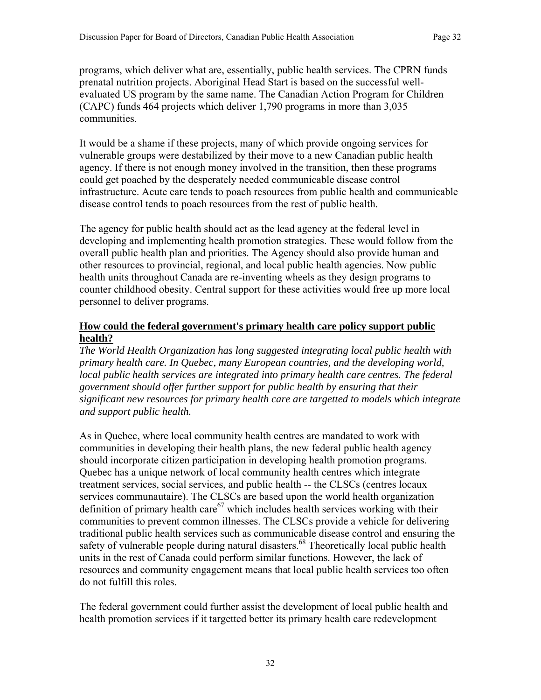programs, which deliver what are, essentially, public health services. The CPRN funds prenatal nutrition projects. Aboriginal Head Start is based on the successful wellevaluated US program by the same name. The Canadian Action Program for Children (CAPC) funds 464 projects which deliver 1,790 programs in more than 3,035 communities.

It would be a shame if these projects, many of which provide ongoing services for vulnerable groups were destabilized by their move to a new Canadian public health agency. If there is not enough money involved in the transition, then these programs could get poached by the desperately needed communicable disease control infrastructure. Acute care tends to poach resources from public health and communicable disease control tends to poach resources from the rest of public health.

The agency for public health should act as the lead agency at the federal level in developing and implementing health promotion strategies. These would follow from the overall public health plan and priorities. The Agency should also provide human and other resources to provincial, regional, and local public health agencies. Now public health units throughout Canada are re-inventing wheels as they design programs to counter childhood obesity. Central support for these activities would free up more local personnel to deliver programs.

#### **How could the federal government's primary health care policy support public health?**

*The World Health Organization has long suggested integrating local public health with primary health care. In Quebec, many European countries, and the developing world, local public health services are integrated into primary health care centres. The federal government should offer further support for public health by ensuring that their significant new resources for primary health care are targetted to models which integrate and support public health.* 

As in Quebec, where local community health centres are mandated to work with communities in developing their health plans, the new federal public health agency should incorporate citizen participation in developing health promotion programs. Quebec has a unique network of local community health centres which integrate treatment services, social services, and public health -- the CLSCs (centres locaux services communautaire). The CLSCs are based upon the world health organization definition of primary health care<sup>67</sup> which includes health services working with their communities to prevent common illnesses. The CLSCs provide a vehicle for delivering traditional public health services such as communicable disease control and ensuring the safety of vulnerable people during natural disasters.<sup>68</sup> Theoretically local public health units in the rest of Canada could perform similar functions. However, the lack of resources and community engagement means that local public health services too often do not fulfill this roles.

The federal government could further assist the development of local public health and health promotion services if it targetted better its primary health care redevelopment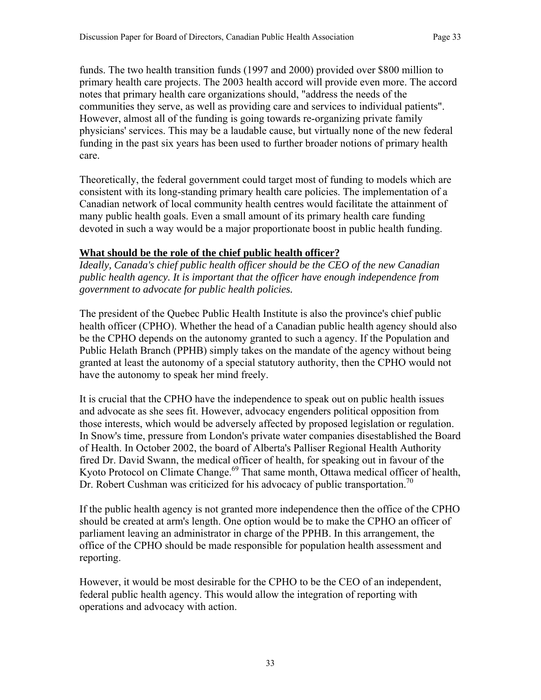funds. The two health transition funds (1997 and 2000) provided over \$800 million to primary health care projects. The 2003 health accord will provide even more. The accord notes that primary health care organizations should, "address the needs of the communities they serve, as well as providing care and services to individual patients". However, almost all of the funding is going towards re-organizing private family physicians' services. This may be a laudable cause, but virtually none of the new federal funding in the past six years has been used to further broader notions of primary health care.

Theoretically, the federal government could target most of funding to models which are consistent with its long-standing primary health care policies. The implementation of a Canadian network of local community health centres would facilitate the attainment of many public health goals. Even a small amount of its primary health care funding devoted in such a way would be a major proportionate boost in public health funding.

## **What should be the role of the chief public health officer?**

*Ideally, Canada's chief public health officer should be the CEO of the new Canadian public health agency. It is important that the officer have enough independence from government to advocate for public health policies.* 

The president of the Quebec Public Health Institute is also the province's chief public health officer (CPHO). Whether the head of a Canadian public health agency should also be the CPHO depends on the autonomy granted to such a agency. If the Population and Public Helath Branch (PPHB) simply takes on the mandate of the agency without being granted at least the autonomy of a special statutory authority, then the CPHO would not have the autonomy to speak her mind freely.

It is crucial that the CPHO have the independence to speak out on public health issues and advocate as she sees fit. However, advocacy engenders political opposition from those interests, which would be adversely affected by proposed legislation or regulation. In Snow's time, pressure from London's private water companies disestablished the Board of Health. In October 2002, the board of Alberta's Palliser Regional Health Authority fired Dr. David Swann, the medical officer of health, for speaking out in favour of the Kyoto Protocol on Climate Change.<sup>69</sup> That same month, Ottawa medical officer of health, Dr. Robert Cushman was criticized for his advocacy of public transportation.<sup>70</sup>

If the public health agency is not granted more independence then the office of the CPHO should be created at arm's length. One option would be to make the CPHO an officer of parliament leaving an administrator in charge of the PPHB. In this arrangement, the office of the CPHO should be made responsible for population health assessment and reporting.

However, it would be most desirable for the CPHO to be the CEO of an independent, federal public health agency. This would allow the integration of reporting with operations and advocacy with action.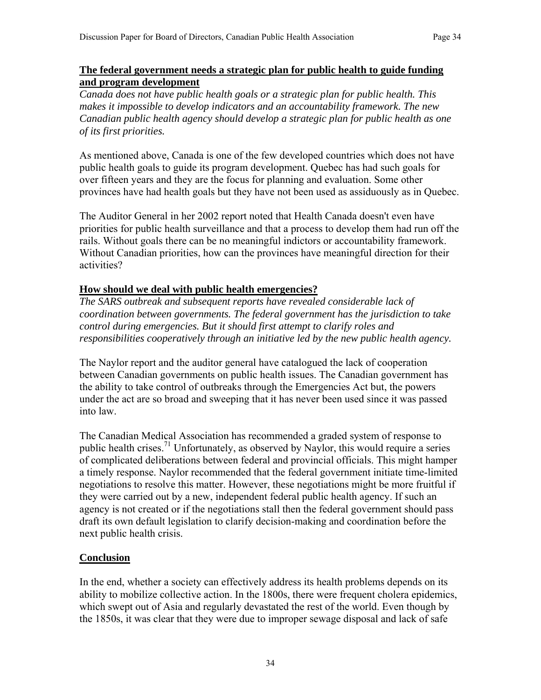#### **The federal government needs a strategic plan for public health to guide funding and program development**

*Canada does not have public health goals or a strategic plan for public health. This makes it impossible to develop indicators and an accountability framework. The new Canadian public health agency should develop a strategic plan for public health as one of its first priorities.* 

As mentioned above, Canada is one of the few developed countries which does not have public health goals to guide its program development. Quebec has had such goals for over fifteen years and they are the focus for planning and evaluation. Some other provinces have had health goals but they have not been used as assiduously as in Quebec.

The Auditor General in her 2002 report noted that Health Canada doesn't even have priorities for public health surveillance and that a process to develop them had run off the rails. Without goals there can be no meaningful indictors or accountability framework. Without Canadian priorities, how can the provinces have meaningful direction for their activities?

#### **How should we deal with public health emergencies?**

*The SARS outbreak and subsequent reports have revealed considerable lack of coordination between governments. The federal government has the jurisdiction to take control during emergencies. But it should first attempt to clarify roles and responsibilities cooperatively through an initiative led by the new public health agency.*

The Naylor report and the auditor general have catalogued the lack of cooperation between Canadian governments on public health issues. The Canadian government has the ability to take control of outbreaks through the Emergencies Act but, the powers under the act are so broad and sweeping that it has never been used since it was passed into law.

The Canadian Medical Association has recommended a graded system of response to public health crises.<sup>71</sup> Unfortunately, as observed by Naylor, this would require a series of complicated deliberations between federal and provincial officials. This might hamper a timely response. Naylor recommended that the federal government initiate time-limited negotiations to resolve this matter. However, these negotiations might be more fruitful if they were carried out by a new, independent federal public health agency. If such an agency is not created or if the negotiations stall then the federal government should pass draft its own default legislation to clarify decision-making and coordination before the next public health crisis.

#### **Conclusion**

In the end, whether a society can effectively address its health problems depends on its ability to mobilize collective action. In the 1800s, there were frequent cholera epidemics, which swept out of Asia and regularly devastated the rest of the world. Even though by the 1850s, it was clear that they were due to improper sewage disposal and lack of safe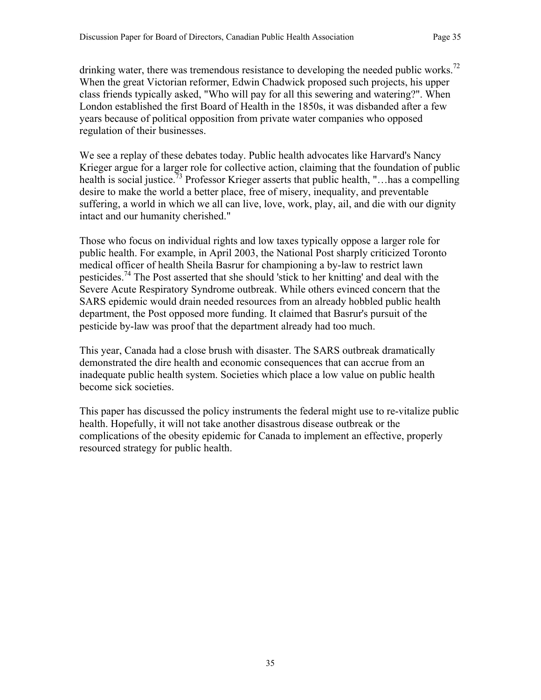drinking water, there was tremendous resistance to developing the needed public works.<sup>72</sup> When the great Victorian reformer, Edwin Chadwick proposed such projects, his upper class friends typically asked, "Who will pay for all this sewering and watering?". When London established the first Board of Health in the 1850s, it was disbanded after a few years because of political opposition from private water companies who opposed regulation of their businesses.

We see a replay of these debates today. Public health advocates like Harvard's Nancy Krieger argue for a larger role for collective action, claiming that the foundation of public health is social justice.<sup>73</sup> Professor Krieger asserts that public health, "... has a compelling desire to make the world a better place, free of misery, inequality, and preventable suffering, a world in which we all can live, love, work, play, ail, and die with our dignity intact and our humanity cherished."

Those who focus on individual rights and low taxes typically oppose a larger role for public health. For example, in April 2003, the National Post sharply criticized Toronto medical officer of health Sheila Basrur for championing a by-law to restrict lawn pesticides.<sup>74</sup> The Post asserted that she should 'stick to her knitting' and deal with the Severe Acute Respiratory Syndrome outbreak. While others evinced concern that the SARS epidemic would drain needed resources from an already hobbled public health department, the Post opposed more funding. It claimed that Basrur's pursuit of the pesticide by-law was proof that the department already had too much.

This year, Canada had a close brush with disaster. The SARS outbreak dramatically demonstrated the dire health and economic consequences that can accrue from an inadequate public health system. Societies which place a low value on public health become sick societies.

This paper has discussed the policy instruments the federal might use to re-vitalize public health. Hopefully, it will not take another disastrous disease outbreak or the complications of the obesity epidemic for Canada to implement an effective, properly resourced strategy for public health.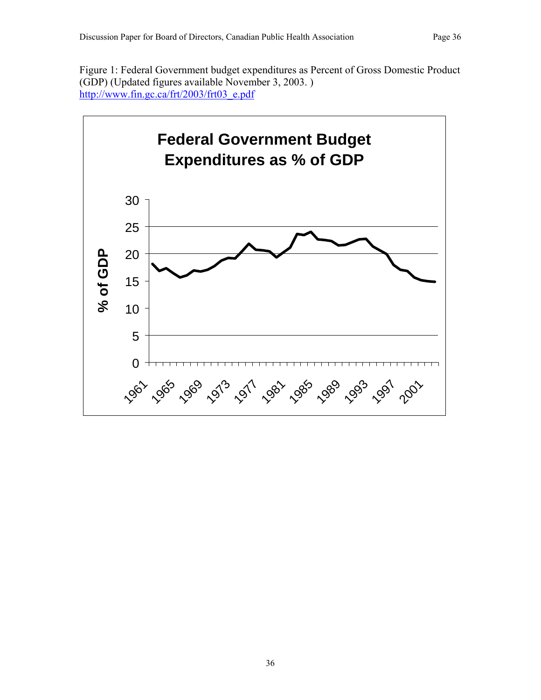Figure 1: Federal Government budget expenditures as Percent of Gross Domestic Product (GDP) (Updated figures available November 3, 2003. ) http://www.fin.gc.ca/frt/2003/frt03\_e.pdf

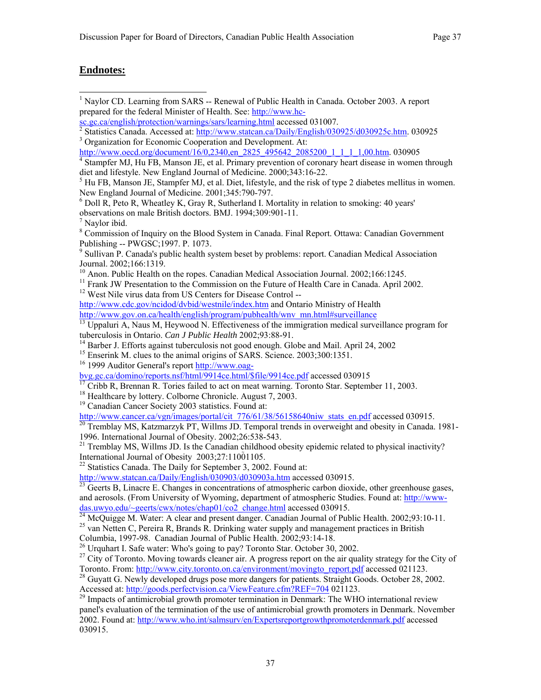1 Naylor CD. Learning from SARS -- Renewal of Public Health in Canada. October 2003. A report

#### **Endnotes:**

prepared for the federal Minister of Health. See: http://www.hcsc.gc.ca/english/protection/warnings/sars/learning.html accessed 031007. <sup>2</sup> Statistics Canada. Accessed at:  $\frac{http://www.statcan.ca/Daily/English/030925/d030925c.htm}{\text{Operation for Economic Conservation and Development At:}}$ <sup>3</sup> Organization for Economic Cooperation and Development. At: http://www.oecd.org/document/16/0.2340.en\_2825\_495642\_2085200\_1\_1\_1\_1,00.htm. 030905 <sup>4</sup> Stampfer MJ, Hu FB, Manson JE, et al. Primary prevention of coronary heart disease in women through diet and lifestyle. New England Journal of Medicine. 2000;343:16-22.<br><sup>5</sup> Hu FB, Manson JE, Stampfer MJ, et al. Diet, lifestyle, and the risk of type 2 diabetes mellitus in women. New England Journal of Medicine. 2001;345:790-797. <sup>6</sup> Doll R, Peto R, Wheatley K, Gray R, Sutherland I. Mortality in relation to smoking: 40 years' observations on male British doctors. BMJ. 1994;309:901-11. 7 Naylor ibid. <sup>8</sup> Commission of Inquiry on the Blood System in Canada. Final Report. Ottawa: Canadian Government Publishing -- PWGSC;1997. P. 1073. <sup>9</sup> Sullivan P. Canada's public health system beset by problems: report. Canadian Medical Association Journal. 2002;166:1319. <sup>10</sup> Anon. Public Health on the ropes. Canadian Medical Association Journal. 2002;166:1245. <sup>11</sup> Frank JW Presentation to the Commission on the Future of Health Care in Canada. April 2002. <sup>12</sup> West Nile virus data from US Centers for Disease Control -http://www.cdc.gov/ncidod/dvbid/westnile/index.htm and Ontario Ministry of Health http://www.gov.on.ca/health/english/program/pubhealth/wnv\_mn.html#surveillance 13 Uppaluri A, Naus M, Heywood N. Effectiveness of the immigration medical surveillance program for tuberculosis in Ontario. *Can J Public Hea* <sup>14</sup> Barber J. Efforts against tuberculosis not good enough. Globe and Mail. April 24, 2002 <sup>15</sup> Enserink M. clues to the animal origins of SARS. Science. 2003;300:1351. <sup>16</sup> 1999 Auditor General's report http://www.oag-<br>
byg.gc.ca/domino/reports.nsf/html/9914ce.html/\$file/9914ce.pdf accessed 030915  $\overline{17}$  Cribb R, Brennan R. Tories failed to act on meat warning. Toronto Star. September 11, 2003. <sup>18</sup> Healthcare by lottery. Colborne Chronicle. August 7, 2003. 19 Canadian Cancer Society 2003 statistics. Found at: http://www.cancer.ca/vgn/images/portal/cit\_776/61/38/56158640niw\_stats\_en.pdf accessed 030915.<br><sup>20</sup> Tremblay MS, Katzmarzyk PT, Willms JD. Temporal trends in overweight and obesity in Canada. 1981-1996. International Journal of Obesity. 2002;26:538-543. <sup>21</sup> Tremblay MS, Willms JD. Is the Canadian childhood obesity epidemic related to physical inactivity?<br>International Journal of Obesity  $2003;27:11001105$ . 22 Statistics Canada. The Daily for September 3, 2002. Found at:<br>http://www.statcan.ca/Daily/English/030903/d030903a.htm accessed 030915.  $\frac{23}{23}$  Geerts B. Linacre E. Changes in concentrations of atmospheric carbon dioxide, other greenhouse gases, and aerosols. (From University of Wyoming, department of atmospheric Studies. Found at: http://wwwdas.uwyo.edu/~geerts/cwx/notes/chap01/co2\_change.html accessed 030915.<br><sup>24</sup> McQuigge M. Water: A clear and present danger. Canadian Journal of Public Health. 2002;93:10-11. <sup>25</sup> van Netten C, Pereira R, Brands R. Drinking water supply and management practices in British Columbia, 1997-98. Canadian Journal of Public Health. 2002;93:14-18. <sup>26</sup> Urquhart I. Safe water: Who's going to pay? Toronto Star. October 30, 2002. <sup>27</sup> City of Toronto. Moving towards cleaner air. A progress report on the air quality strategy for the City of Toronto. From: http://www.city.toronto.on.ca/environment/movingto report.pdf accessed 021123. <sup>28</sup> Guyatt G. Newly developed drugs pose more dangers for patients. Straight Goods. October 28, 2002. Accessed at: http://goods.perfectvision.ca/ViewFeature.cfm?REF=704 021123. <sup>29</sup> Impacts of antimicrobial growth promoter termination in Denmark: The WHO international review panel's evaluation of the termination of the use of antimicrobial growth promoters in Denmark. November

<sup>2002.</sup> Found at: http://www.who.int/salmsurv/en/Expertsreportgrowthpromoterdenmark.pdf accessed 030915.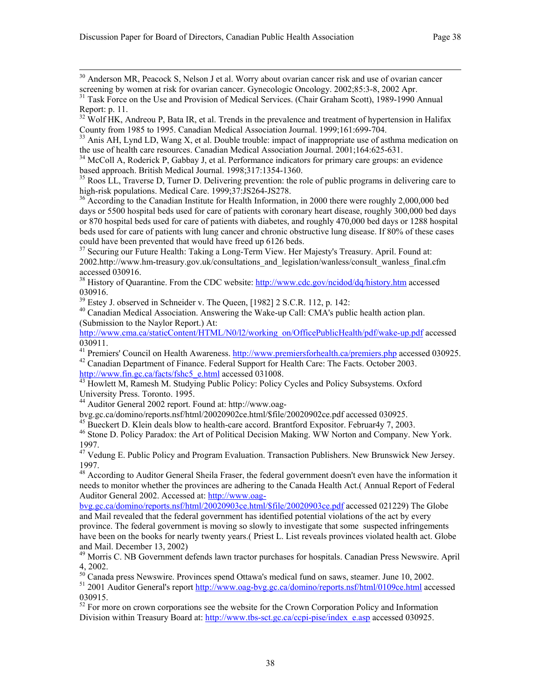<sup>30</sup> Anderson MR, Peacock S, Nelson J et al. Worry about ovarian cancer risk and use of ovarian cancer screening by women at risk for ovarian cancer. Gynecologic Oncology. 2002;85:3-8, 2002 Apr.

 $32$  Wolf HK, Andreou P, Bata IR, et al. Trends in the prevalence and treatment of hypertension in Halifax County from 1985 to 1995. Canadian Medical Association Journal. 1999;161:699-704.

<sup>33</sup> Anis AH, Lynd LD, Wang X, et al. Double trouble: impact of inappropriate use of asthma medication on the use of health care resources. Canadian Medical Association Journal. 2001;164:625-631.

<sup>34</sup> McColl A, Roderick P, Gabbay J, et al. Performance indicators for primary care groups: an evidence based approach. British Medical Journal. 1998;317:1354-1360.

<sup>35</sup> Roos LL, Traverse D, Turner D. Delivering prevention: the role of public programs in delivering care to high-risk populations. Medical Care. 1999;37:JS264-JS278.

<sup>36</sup> According to the Canadian Institute for Health Information, in 2000 there were roughly 2,000,000 bed days or 5500 hospital beds used for care of patients with coronary heart disease, roughly 300,000 bed days or 870 hospital beds used for care of patients with diabetes, and roughly 470,000 bed days or 1288 hospital beds used for care of patients with lung cancer and chronic obstructive lung disease. If 80% of these cases could have been prevented that would have freed up 6126 beds.

<sup>37</sup> Securing our Future Health: Taking a Long-Term View. Her Majesty's Treasury. April. Found at: 2002.http://www.hm-treasury.gov.uk/consultations\_and\_legislation/wanless/consult\_wanless\_final.cfm accessed 030916.

<sup>38</sup> History of Quarantine. From the CDC website: http://www.cdc.gov/ncidod/dq/history.htm accessed 030916.<br><sup>39</sup> Estey J. observed in Schneider v. The Queen, [1982] 2 S.C.R. 112, p. 142:

<sup>40</sup> Canadian Medical Association. Answering the Wake-up Call: CMA's public health action plan. (Submission to the Naylor Report.) At:

http://www.cma.ca/staticContent/HTML/N0/l2/working\_on/OfficePublicHealth/pdf/wake-up.pdf accessed 030911.

<sup>41</sup> Premiers' Council on Health Awareness. http://www.premiersforhealth.ca/premiers.php accessed 030925.<br><sup>42</sup> Canadian Department of Finance. Federal Support for Health Care: The Facts. October 2003.<br>http://www.fin.gc.ca

 $43$  Howlett M, Ramesh M. Studying Public Policy: Policy Cycles and Policy Subsystems. Oxford University Press. Toronto. 1995.

<sup>44</sup> Auditor General 2002 report. Found at: http://www.oag-<br>byg.gc.ca/domino/reports.nsf/html/20020902ce.html/\$file/20020902ce.pdf accessed 030925.

<sup>45</sup> Bueckert D. Klein deals blow to health-care accord. Brantford Expositor. Februar 4y 7, 2003.<br><sup>46</sup> Stone D. Policy Paradox: the Art of Political Decision Making. WW Norton and Company. New York. 1997.

<sup>47</sup> Vedung E. Public Policy and Program Evaluation. Transaction Publishers. New Brunswick New Jersey. 1997.

<sup>48</sup> According to Auditor General Sheila Fraser, the federal government doesn't even have the information it needs to monitor whether the provinces are adhering to the Canada Health Act.( Annual Report of Federal Auditor General 2002. Accessed at: http://www.oag-

bvg.gc.ca/domino/reports.nsf/html/20020903ce.html/\$file/20020903ce.pdf accessed 021229) The Globe and Mail revealed that the federal government has identified potential violations of the act by every province. The federal government is moving so slowly to investigate that some suspected infringements have been on the books for nearly twenty years.( Priest L. List reveals provinces violated health act. Globe and Mail. December 13, 2002)

<sup>49</sup> Morris C. NB Government defends lawn tractor purchases for hospitals. Canadian Press Newswire. April 4, 2002.

 $50$  Canada press Newswire. Provinces spend Ottawa's medical fund on saws, steamer. June 10, 2002.

51 2001 Auditor General's report http://www.oag-bvg.gc.ca/domino/reports.nsf/html/0109ce.html accessed 030915.

 $52$  For more on crown corporations see the website for the Crown Corporation Policy and Information Division within Treasury Board at: http://www.tbs-sct.gc.ca/ccpi-pise/index\_e.asp accessed 030925.

<sup>&</sup>lt;sup>31</sup> Task Force on the Use and Provision of Medical Services. (Chair Graham Scott), 1989-1990 Annual Report: p. 11.